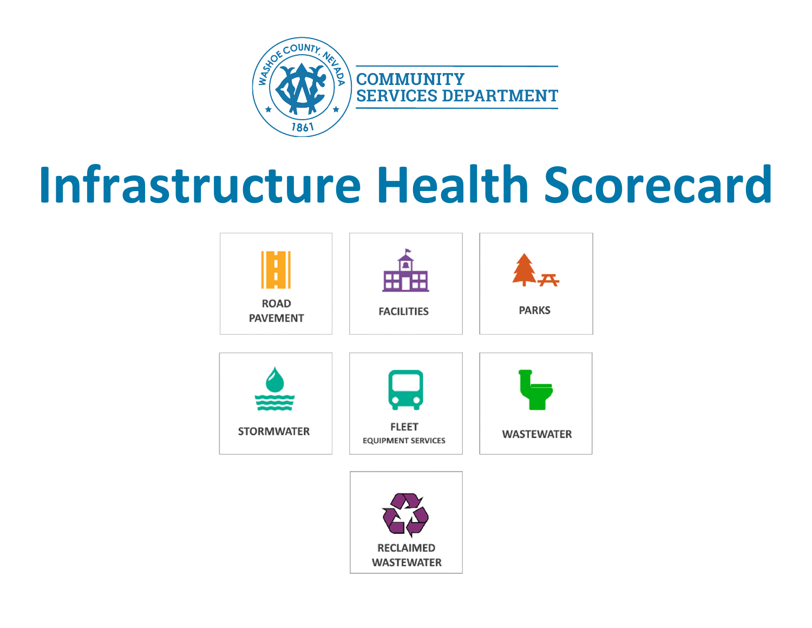

# **Infrastructure Health Scorecard**

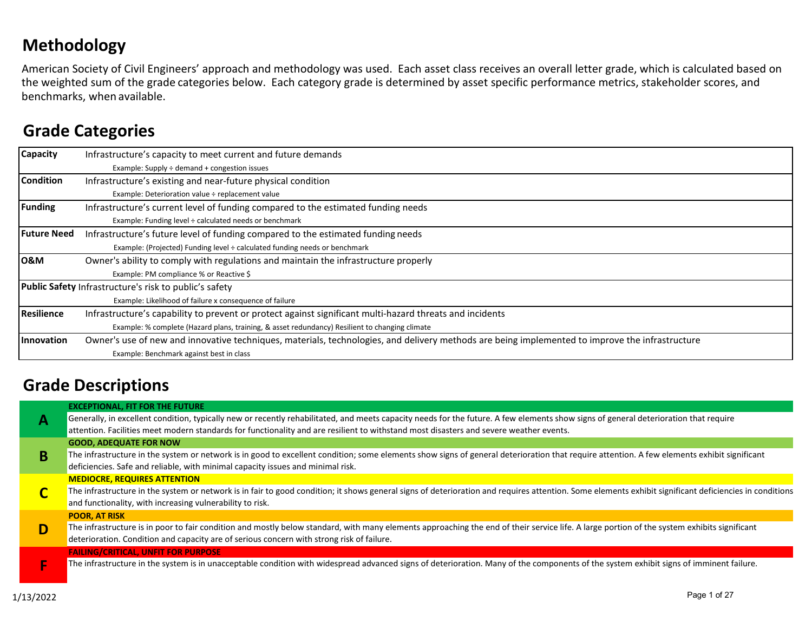### **Methodology**

American Society of Civil Engineers' approach and methodology was used. Each asset class receives an overall letter grade, which is calculated based on the weighted sum of the grade categories below. Each category grade is determined by asset specific performance metrics, stakeholder scores, and benchmarks, when available.

### **Grade Categories**

| Capacity           | Infrastructure's capacity to meet current and future demands                                                                                    |  |  |  |  |  |  |  |  |  |
|--------------------|-------------------------------------------------------------------------------------------------------------------------------------------------|--|--|--|--|--|--|--|--|--|
|                    | Example: Supply ÷ demand + congestion issues                                                                                                    |  |  |  |  |  |  |  |  |  |
| <b>Condition</b>   | Infrastructure's existing and near-future physical condition                                                                                    |  |  |  |  |  |  |  |  |  |
|                    | Example: Deterioration value ÷ replacement value                                                                                                |  |  |  |  |  |  |  |  |  |
| <b>Funding</b>     | Infrastructure's current level of funding compared to the estimated funding needs                                                               |  |  |  |  |  |  |  |  |  |
|                    | Example: Funding level ÷ calculated needs or benchmark                                                                                          |  |  |  |  |  |  |  |  |  |
| <b>Future Need</b> | Infrastructure's future level of funding compared to the estimated funding needs                                                                |  |  |  |  |  |  |  |  |  |
|                    | Example: (Projected) Funding level ÷ calculated funding needs or benchmark                                                                      |  |  |  |  |  |  |  |  |  |
| <b>O&amp;M</b>     | Owner's ability to comply with regulations and maintain the infrastructure properly                                                             |  |  |  |  |  |  |  |  |  |
|                    | Example: PM compliance % or Reactive \$                                                                                                         |  |  |  |  |  |  |  |  |  |
|                    | <b>Public Safety Infrastructure's risk to public's safety</b>                                                                                   |  |  |  |  |  |  |  |  |  |
|                    | Example: Likelihood of failure x consequence of failure                                                                                         |  |  |  |  |  |  |  |  |  |
| Resilience         | Infrastructure's capability to prevent or protect against significant multi-hazard threats and incidents                                        |  |  |  |  |  |  |  |  |  |
|                    | Example: % complete (Hazard plans, training, & asset redundancy) Resilient to changing climate                                                  |  |  |  |  |  |  |  |  |  |
| <b>Innovation</b>  | Owner's use of new and innovative techniques, materials, technologies, and delivery methods are being implemented to improve the infrastructure |  |  |  |  |  |  |  |  |  |
|                    | Example: Benchmark against best in class                                                                                                        |  |  |  |  |  |  |  |  |  |

### **Grade Descriptions**

|   | <b>EXCEPTIONAL, FIT FOR THE FUTURE</b>                                                                                                                                                                                                                                         |
|---|--------------------------------------------------------------------------------------------------------------------------------------------------------------------------------------------------------------------------------------------------------------------------------|
|   | Generally, in excellent condition, typically new or recently rehabilitated, and meets capacity needs for the future. A few elements show signs of general deterioration that require                                                                                           |
|   | attention. Facilities meet modern standards for functionality and are resilient to withstand most disasters and severe weather events.                                                                                                                                         |
|   | <b>GOOD, ADEQUATE FOR NOW</b>                                                                                                                                                                                                                                                  |
|   | The infrastructure in the system or network is in good to excellent condition; some elements show signs of general deterioration that require attention. A few elements exhibit significant<br>deficiencies. Safe and reliable, with minimal capacity issues and minimal risk. |
|   | <b>MEDIOCRE, REQUIRES ATTENTION</b>                                                                                                                                                                                                                                            |
|   | The infrastructure in the system or network is in fair to good condition; it shows general signs of deterioration and requires attention. Some elements exhibit significant deficiencies in conditions<br>and functionality, with increasing vulnerability to risk.            |
|   | <b>POOR, AT RISK</b>                                                                                                                                                                                                                                                           |
| D | The infrastructure is in poor to fair condition and mostly below standard, with many elements approaching the end of their service life. A large portion of the system exhibits significant                                                                                    |
|   | deterioration. Condition and capacity are of serious concern with strong risk of failure.                                                                                                                                                                                      |
|   | <b>FAILING/CRITICAL, UNFIT FOR PURPOSE</b>                                                                                                                                                                                                                                     |
|   | The infrastructure in the system is in unacceptable condition with widespread advanced signs of deterioration. Many of the components of the system exhibit signs of imminent failure.                                                                                         |
|   |                                                                                                                                                                                                                                                                                |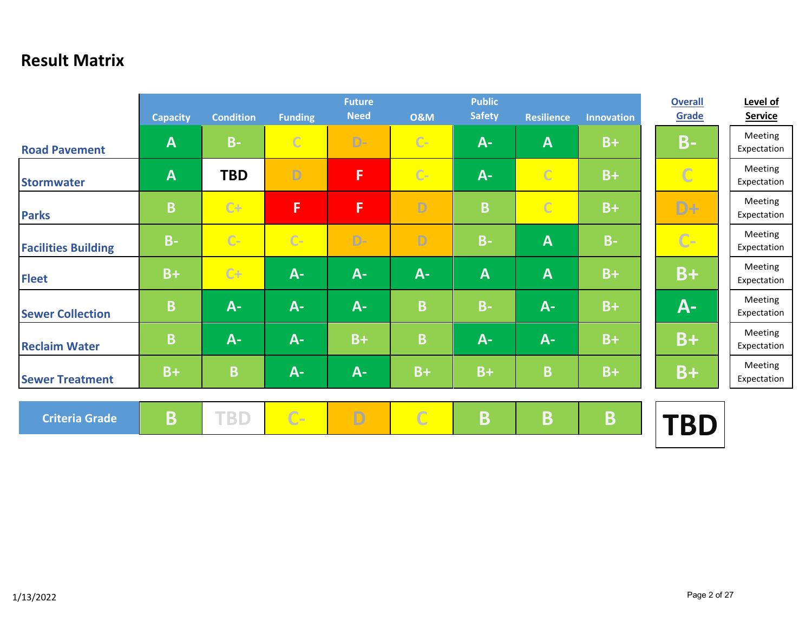### **Result Matrix**

|                            | <b>Capacity</b> | <b>Condition</b> | <b>Funding</b> | <b>Future</b><br><b>Need</b> | <b>O&amp;M</b> | <b>Public</b><br><b>Safety</b> | <b>Resilience</b> | <b>Innovation</b> | <b>Overall</b><br>Grade | Level of<br><b>Service</b> |
|----------------------------|-----------------|------------------|----------------|------------------------------|----------------|--------------------------------|-------------------|-------------------|-------------------------|----------------------------|
| <b>Road Pavement</b>       | $\mathbf{A}$    | $B -$            | $\mathcal{C}$  | $D -$                        | $C -$          | $A -$                          | A                 | $B+$              | <b>B-</b>               | Meeting<br>Expectation     |
| <b>Stormwater</b>          | $\mathbf{A}$    | <b>TBD</b>       | D              | F                            | $C -$          | $A -$                          | $\mathbb{C}$      | $B+$              | $\overline{C}$          | Meeting<br>Expectation     |
| <b>Parks</b>               | B               | $C+$             | F              | F                            | D              | B                              | $\overline{C}$    | $B+$              | D+                      | Meeting<br>Expectation     |
| <b>Facilities Building</b> | $B -$           | $C-$             | $C-$           | $D -$                        | D              | $B -$                          | $\mathbf{A}$      | $B -$             | $C -$                   | Meeting<br>Expectation     |
| <b>Fleet</b>               | $B+$            | $C+$             | $A -$          | $A -$                        | $A -$          | $\mathbf{A}$                   | $\mathbf{A}$      | $B+$              | B+                      | Meeting<br>Expectation     |
| <b>Sewer Collection</b>    | B               | $A -$            | $A -$          | $A -$                        | B              | $B -$                          | $A -$             | $B+$              | <b>A-</b>               | Meeting<br>Expectation     |
| <b>Reclaim Water</b>       | B               | $A -$            | $A -$          | $B+$                         | B              | $A -$                          | $A -$             | $B+$              | B+                      | Meeting<br>Expectation     |
| <b>Sewer Treatment</b>     | $B+$            | B                | $A -$          | $A -$                        | $B+$           | $B+$                           | B                 | $B+$              | $B+$                    | Meeting<br>Expectation     |
| <b>Criteria Grade</b>      | B               | <b>TBD</b>       | $C-$           | D                            | $\overline{C}$ | $\overline{\mathbf{B}}$        | Β                 | B                 | <b>TBD</b>              |                            |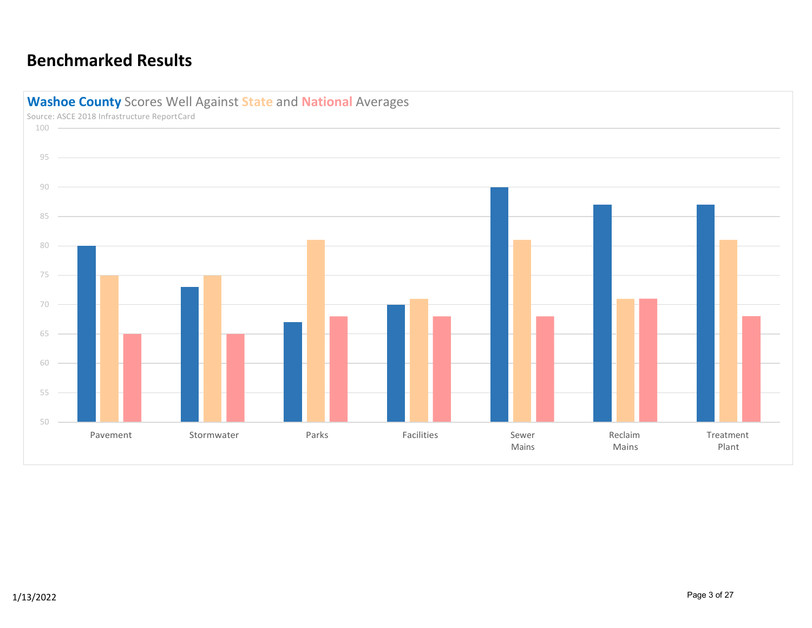### **Benchmarked Results**



Source: ASCE 2018 Infrastructure ReportCard 100 95 90 85 80 75 70 65 60 55 50 Pavement Stormwater Parks Facilities Sewer Mains Reclaim Mains Treatment Plant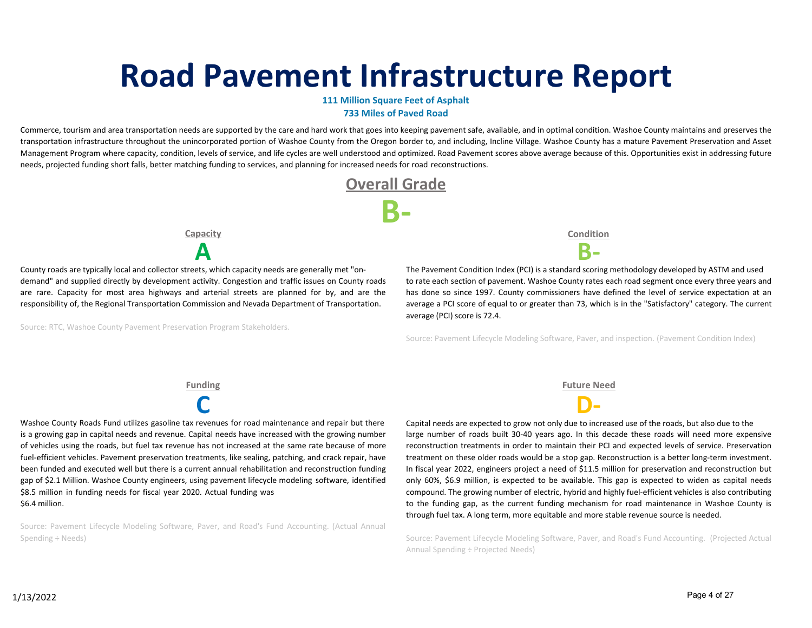# **Road Pavement Infrastructure Report**

### **111 Million Square Feet of Asphalt 733 Miles of Paved Road**

Commerce, tourism and area transportation needs are supported by the care and hard work that goes into keeping pavement safe, available, and in optimal condition. Washoe County maintains and preserves the transportation infrastructure throughout the unincorporated portion of Washoe County from the Oregon border to, and including, Incline Village. Washoe County has a mature Pavement Preservation and Asset Management Program where capacity, condition, levels of service, and life cycles are well understood and optimized. Road Pavement scores above average because of this. Opportunities exist in addressing future needs, projected funding short falls, better matching funding to services, and planning for increased needs for road reconstructions.



**Capacity**

County roads are typically local and collector streets, which capacity needs are generally met "on‐ demand" and supplied directly by development activity. Congestion and traffic issues on County roads are rare. Capacity for most area highways and arterial streets are planned for by, and are the responsibility of, the Regional Transportation Commission and Nevada Department of Transportation.

Source: RTC, Washoe County Pavement Preservation Program Stakeholders.

**Condition A B‐**

The Pavement Condition Index (PCI) is a standard scoring methodology developed by ASTM and used to rate each section of pavement. Washoe County rates each road segment once every three years and has done so since 1997. County commissioners have defined the level of service expectation at an average a PCI score of equal to or greater than 73, which is in the "Satisfactory" category. The current average (PCI) score is 72.4.

Source: Pavement Lifecycle Modeling Software, Paver, and inspection. (Pavement Condition Index)

**C D‐** Washoe County Roads Fund utilizes gasoline tax revenues for road maintenance and repair but there is a growing gap in capital needs and revenue. Capital needs have increased with the growing number of vehicles using the roads, but fuel tax revenue has not increased at the same rate because of more fuel-efficient vehicles. Pavement preservation treatments, like sealing, patching, and crack repair, have been funded and executed well but there is a current annual rehabilitation and reconstruction funding gap of \$2.1 Million. Washoe County engineers, using pavement lifecycle modeling software, identified \$8.5 million in funding needs for fiscal year 2020. Actual funding was \$6.4 million.

Source: Pavement Lifecycle Modeling Software, Paver, and Road's Fund Accounting. (Actual Annual Spending ÷ Needs)

**Funding Future Need**

Capital needs are expected to grow not only due to increased use of the roads, but also due to the large number of roads built 30‐40 years ago. In this decade these roads will need more expensive reconstruction treatments in order to maintain their PCI and expected levels of service. Preservation treatment on these older roads would be a stop gap. Reconstruction is a better long-term investment. In fiscal year 2022, engineers project a need of \$11.5 million for preservation and reconstruction but only 60%, \$6.9 million, is expected to be available. This gap is expected to widen as capital needs compound. The growing number of electric, hybrid and highly fuel-efficient vehicles is also contributing to the funding gap, as the current funding mechanism for road maintenance in Washoe County is through fuel tax. A long term, more equitable and more stable revenue source is needed.

Source: Pavement Lifecycle Modeling Software, Paver, and Road's Fund Accounting. (Projected Actual Annual Spending ÷ Projected Needs)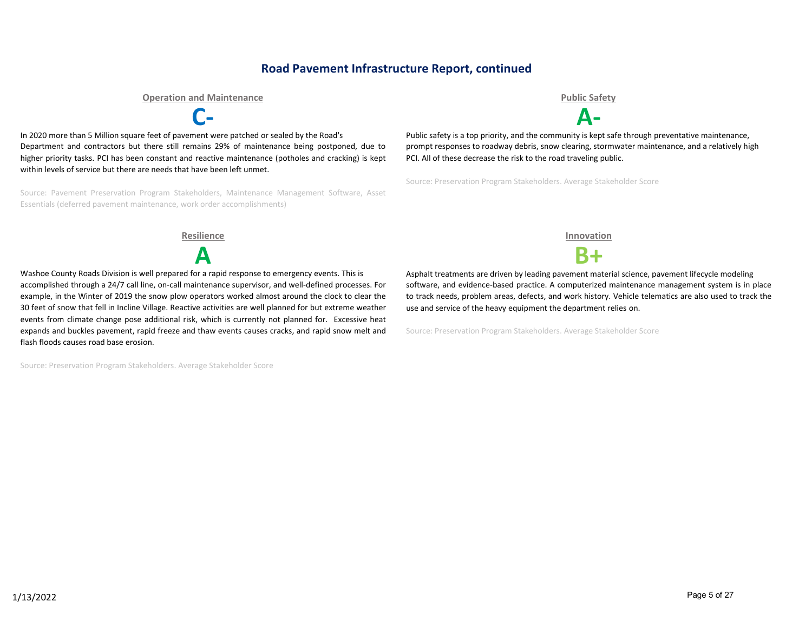### **Road Pavement Infrastructure Report, continued**

**Operation and Maintenance Public Safety**

**C‐ A‐**

In 2020 more than 5 Million square feet of pavement were patched or sealed by the Road's Department and contractors but there still remains 29% of maintenance being postponed, due to higher priority tasks. PCI has been constant and reactive maintenance (potholes and cracking) is kept within levels of service but there are needs that have been left unmet.

Source: Pavement Preservation Program Stakeholders, Maintenance Management Software, Asset Essentials (deferred pavement maintenance, work order accomplishments)

Public safety is a top priority, and the community is kept safe through preventative maintenance, prompt responses to roadway debris, snow clearing, stormwater maintenance, and a relatively high PCI. All of these decrease the risk to the road traveling public.

Source: Preservation Program Stakeholders. Average Stakeholder Score

**Resilience Innovation**



Washoe County Roads Division is well prepared for a rapid response to emergency events. This is accomplished through a 24/7 call line, on-call maintenance supervisor, and well-defined processes. For example, in the Winter of 2019 the snow plow operators worked almost around the clock to clear the 30 feet of snow that fell in Incline Village. Reactive activities are well planned for but extreme weather events from climate change pose additional risk, which is currently not planned for. Excessive heat expands and buckles pavement, rapid freeze and thaw events causes cracks, and rapid snow melt and flash floods causes road base erosion.

Source: Preservation Program Stakeholders. Average Stakeholder Score

**A B+**

Asphalt treatments are driven by leading pavement material science, pavement lifecycle modeling software, and evidence-based practice. A computerized maintenance management system is in place to track needs, problem areas, defects, and work history. Vehicle telematics are also used to track the use and service of the heavy equipment the department relies on.

Source: Preservation Program Stakeholders. Average Stakeholder Score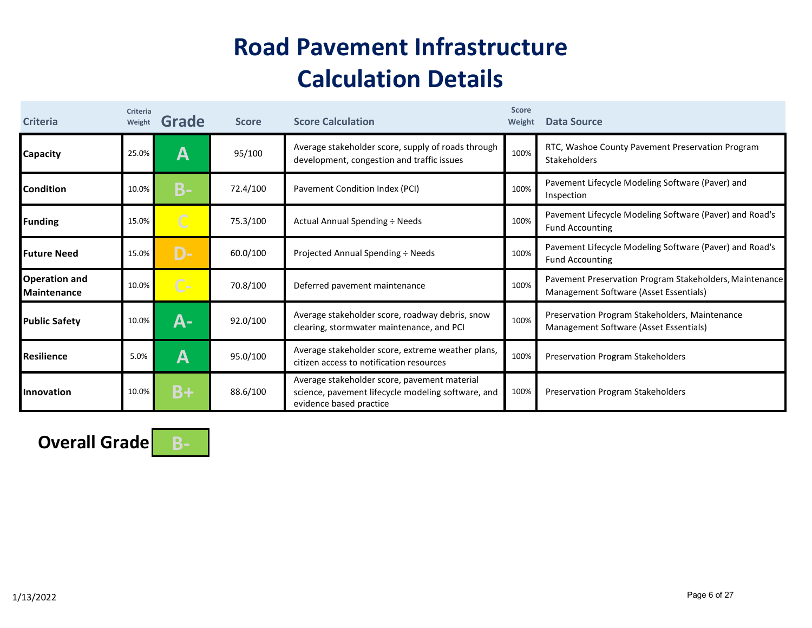## **Road Pavement Infrastructure Calculation Details**

| <b>Criteria</b>                            | Criteria<br>Weight | Grade          | <b>Score</b> | <b>Score Calculation</b>                                                                                                      | <b>Score</b><br>Weight | Data Source                                                                                       |
|--------------------------------------------|--------------------|----------------|--------------|-------------------------------------------------------------------------------------------------------------------------------|------------------------|---------------------------------------------------------------------------------------------------|
| Capacity                                   | 25.0%              | А              | 95/100       | Average stakeholder score, supply of roads through<br>development, congestion and traffic issues                              | 100%                   | RTC, Washoe County Pavement Preservation Program<br>Stakeholders                                  |
| Condition                                  | 10.0%              | <b>B-</b>      | 72.4/100     | Pavement Condition Index (PCI)                                                                                                | 100%                   | Pavement Lifecycle Modeling Software (Paver) and<br>Inspection                                    |
| <b>Funding</b>                             | 15.0%              | $\overline{C}$ | 75.3/100     | Actual Annual Spending ÷ Needs                                                                                                | 100%                   | Pavement Lifecycle Modeling Software (Paver) and Road's<br><b>Fund Accounting</b>                 |
| <b>Future Need</b>                         | 15.0%              | D-             | 60.0/100     | Projected Annual Spending ÷ Needs                                                                                             | 100%                   | Pavement Lifecycle Modeling Software (Paver) and Road's<br><b>Fund Accounting</b>                 |
| <b>Operation and</b><br><b>Maintenance</b> | 10.0%              | $C -$          | 70.8/100     | Deferred pavement maintenance                                                                                                 | 100%                   | Pavement Preservation Program Stakeholders, Maintenance<br>Management Software (Asset Essentials) |
| <b>Public Safety</b>                       | 10.0%              | А-             | 92.0/100     | Average stakeholder score, roadway debris, snow<br>clearing, stormwater maintenance, and PCI                                  | 100%                   | Preservation Program Stakeholders, Maintenance<br>Management Software (Asset Essentials)          |
| Resilience                                 | 5.0%               | Α              | 95.0/100     | Average stakeholder score, extreme weather plans,<br>citizen access to notification resources                                 | 100%                   | <b>Preservation Program Stakeholders</b>                                                          |
| Innovation                                 | 10.0%              | $B+$           | 88.6/100     | Average stakeholder score, pavement material<br>science, pavement lifecycle modeling software, and<br>evidence based practice | 100%                   | Preservation Program Stakeholders                                                                 |

**Overall Grade B‐**

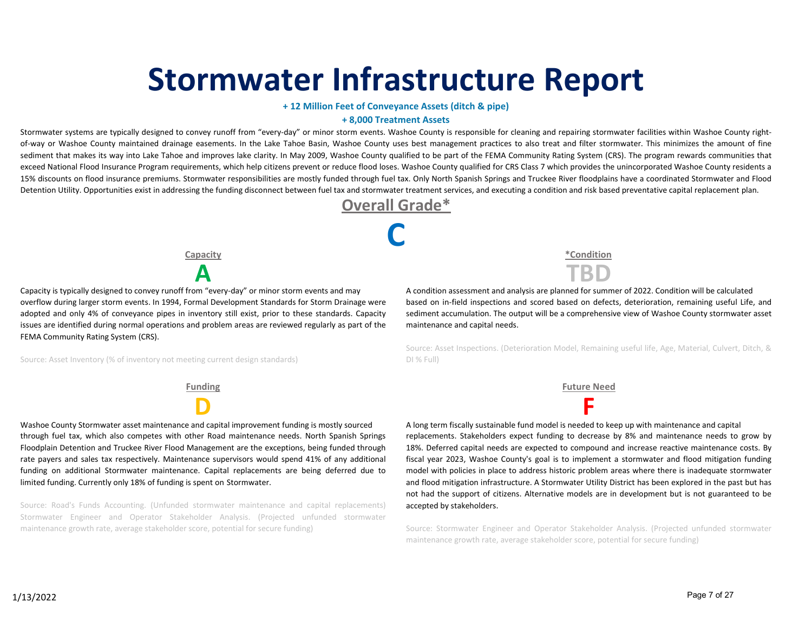# **Stormwater Infrastructure Report**

### **+ 12 Million Feet of Conveyance Assets (ditch & pipe)**

#### **+ 8,000 Treatment Assets**

Stormwater systems are typically designed to convey runoff from "every-day" or minor storm events. Washoe County is responsible for cleaning and repairing stormwater facilities within Washoe County rightof-way or Washoe County maintained drainage easements. In the Lake Tahoe Basin, Washoe County uses best management practices to also treat and filter stormwater. This minimizes the amount of fine sediment that makes its way into Lake Tahoe and improves lake clarity. In May 2009, Washoe County qualified to be part of the FEMA Community Rating System (CRS). The program rewards communities that exceed National Flood Insurance Program requirements, which help citizens prevent or reduce flood loses. Washoe County qualified for CRS Class 7 which provides the unincorporated Washoe County residents a 15% discounts on flood insurance premiums. Stormwater responsibilities are mostly funded through fuel tax. Only North Spanish Springs and Truckee River floodplains have a coordinated Stormwater and Flood Detention Utility. Opportunities exist in addressing the funding disconnect between fuel tax and stormwater treatment services, and executing a condition and risk based preventative capital replacement plan.



**C**

**Capacity**

Capacity is typically designed to convey runoff from "every‐day" or minor storm events and may overflow during larger storm events. In 1994, Formal Development Standards for Storm Drainage were adopted and only 4% of conveyance pipes in inventory still exist, prior to these standards. Capacity issues are identified during normal operations and problem areas are reviewed regularly as part of the FEMA Community Rating System (CRS).

Source: Asset Inventory (% of inventory not meeting current design standards)

Washoe County Stormwater asset maintenance and capital improvement funding is mostly sourced through fuel tax, which also competes with other Road maintenance needs. North Spanish Springs Floodplain Detention and Truckee River Flood Management are the exceptions, being funded through rate payers and sales tax respectively. Maintenance supervisors would spend 41% of any additional funding on additional Stormwater maintenance. Capital replacements are being deferred due to limited funding. Currently only 18% of funding is spent on Stormwater.

Source: Road's Funds Accounting. (Unfunded stormwater maintenance and capital replacements) Stormwater Engineer and Operator Stakeholder Analysis. (Projected unfunded stormwater maintenance growth rate, average stakeholder score, potential for secure funding)

**\*Condition A TBD**

A condition assessment and analysis are planned for summer of 2022. Condition will be calculated based on in‐field inspections and scored based on defects, deterioration, remaining useful Life, and sediment accumulation. The output will be a comprehensive view of Washoe County stormwater asset maintenance and capital needs.

Source: Asset Inspections. (Deterioration Model, Remaining useful life, Age, Material, Culvert, Ditch, & DI % Full)

**Funding Future Need**

**D F** A long term fiscally sustainable fund model is needed to keep up with maintenance and capital replacements. Stakeholders expect funding to decrease by 8% and maintenance needs to grow by 18%. Deferred capital needs are expected to compound and increase reactive maintenance costs. By fiscal year 2023, Washoe County's goal is to implement a stormwater and flood mitigation funding model with policies in place to address historic problem areas where there is inadequate stormwater and flood mitigation infrastructure. A Stormwater Utility District has been explored in the past but has not had the support of citizens. Alternative models are in development but is not guaranteed to be accepted by stakeholders.

> Source: Stormwater Engineer and Operator Stakeholder Analysis. (Projected unfunded stormwater maintenance growth rate, average stakeholder score, potential for secure funding)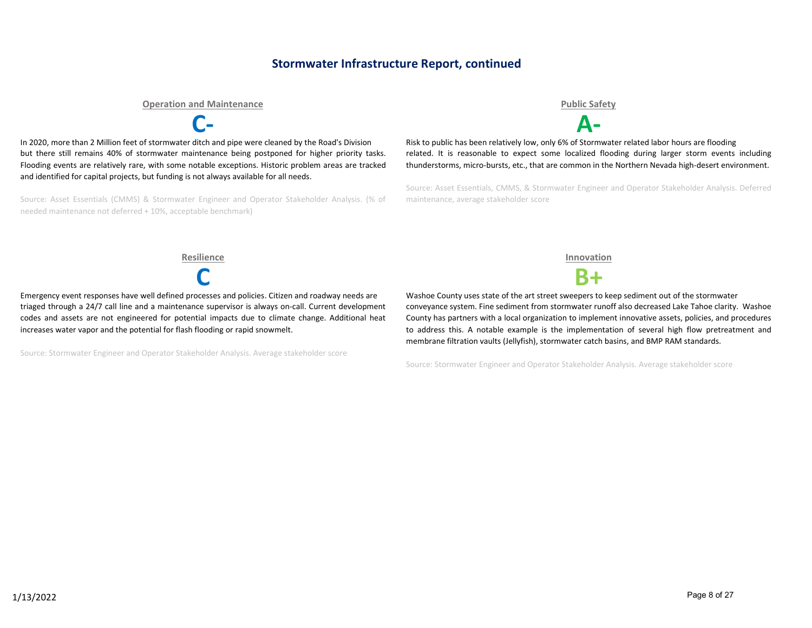### **Stormwater Infrastructure Report, continued**

#### **Operation and Maintenance Public Safety**



In 2020, more than 2 Million feet of stormwater ditch and pipe were cleaned by the Road's Division but there still remains 40% of stormwater maintenance being postponed for higher priority tasks. Flooding events are relatively rare, with some notable exceptions. Historic problem areas are tracked and identified for capital projects, but funding is not always available for all needs.

Source: Asset Essentials (CMMS) & Stormwater Engineer and Operator Stakeholder Analysis. (% of needed maintenance not deferred + 10%, acceptable benchmark)

**C‐ A‐**

Risk to public has been relatively low, only 6% of Stormwater related labor hours are flooding related. It is reasonable to expect some localized flooding during larger storm events including thunderstorms, micro‐bursts, etc., that are common in the Northern Nevada high‐desert environment.

Source: Asset Essentials, CMMS, & Stormwater Engineer and Operator Stakeholder Analysis. Deferred maintenance, average stakeholder score

**Resilience Innovation**

Emergency event responses have well defined processes and policies. Citizen and roadway needs are triaged through a 24/7 call line and a maintenance supervisor is always on‐call. Current development codes and assets are not engineered for potential impacts due to climate change. Additional heat increases water vapor and the potential for flash flooding or rapid snowmelt.

Source: Stormwater Engineer and Operator Stakeholder Analysis. Average stakeholder score



**C B+**

Washoe County uses state of the art street sweepers to keep sediment out of the stormwater conveyance system. Fine sediment from stormwater runoff also decreased Lake Tahoe clarity. Washoe County has partners with a local organization to implement innovative assets, policies, and procedures to address this. A notable example is the implementation of several high flow pretreatment and membrane filtration vaults (Jellyfish), stormwater catch basins, and BMP RAM standards.

Source: Stormwater Engineer and Operator Stakeholder Analysis. Average stakeholder score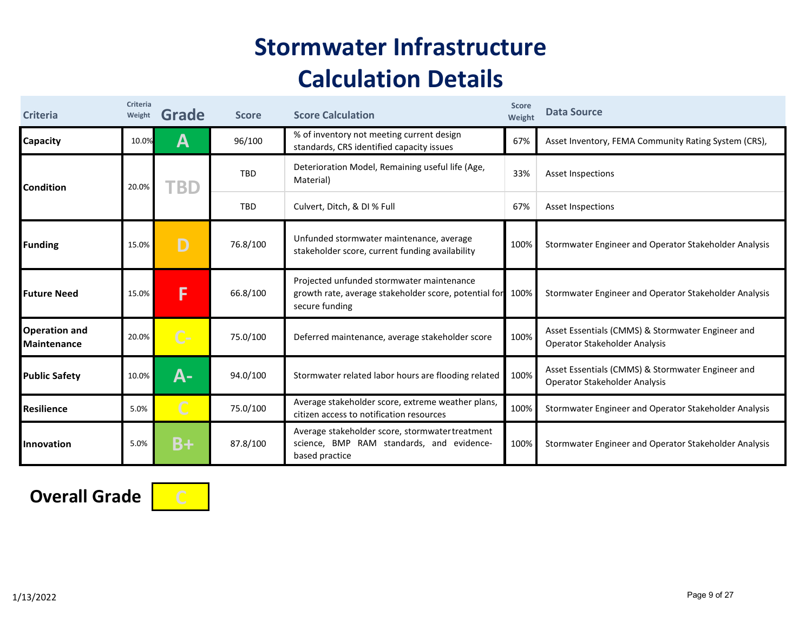## **Stormwater Infrastructure Calculation Details**

| <b>Criteria</b>                            | Criteria<br>Weight | Grade | <b>Score</b> | <b>Score Calculation</b>                                                                                             | <b>Score</b><br>Weight | <b>Data Source</b>                                                                 |
|--------------------------------------------|--------------------|-------|--------------|----------------------------------------------------------------------------------------------------------------------|------------------------|------------------------------------------------------------------------------------|
| Capacity                                   | 10.0%              | A     | 96/100       | % of inventory not meeting current design<br>standards, CRS identified capacity issues                               | 67%                    | Asset Inventory, FEMA Community Rating System (CRS),                               |
| <b>Condition</b>                           | 20.0%              | 'BD   | TBD          | Deterioration Model, Remaining useful life (Age,<br>Material)                                                        | 33%                    | Asset Inspections                                                                  |
|                                            |                    |       | TBD          | Culvert, Ditch, & DI % Full                                                                                          | 67%                    | Asset Inspections                                                                  |
| <b>Funding</b>                             | 15.0%              | D     | 76.8/100     | Unfunded stormwater maintenance, average<br>stakeholder score, current funding availability                          | 100%                   | Stormwater Engineer and Operator Stakeholder Analysis                              |
| <b>Future Need</b>                         | 15.0%              | F     | 66.8/100     | Projected unfunded stormwater maintenance<br>growth rate, average stakeholder score, potential for<br>secure funding | 100%                   | Stormwater Engineer and Operator Stakeholder Analysis                              |
| <b>Operation and</b><br><b>Maintenance</b> | 20.0%              | $C -$ | 75.0/100     | Deferred maintenance, average stakeholder score                                                                      | 100%                   | Asset Essentials (CMMS) & Stormwater Engineer and<br>Operator Stakeholder Analysis |
| <b>Public Safety</b>                       | 10.0%              | А-    | 94.0/100     | Stormwater related labor hours are flooding related                                                                  | 100%                   | Asset Essentials (CMMS) & Stormwater Engineer and<br>Operator Stakeholder Analysis |
| <b>Resilience</b>                          | 5.0%               |       | 75.0/100     | Average stakeholder score, extreme weather plans,<br>citizen access to notification resources                        | 100%                   | Stormwater Engineer and Operator Stakeholder Analysis                              |
| Innovation                                 | 5.0%               | $B+$  | 87.8/100     | Average stakeholder score, stormwater treatment<br>science, BMP RAM standards, and evidence-<br>based practice       | 100%                   | Stormwater Engineer and Operator Stakeholder Analysis                              |

**Overall Grade** 

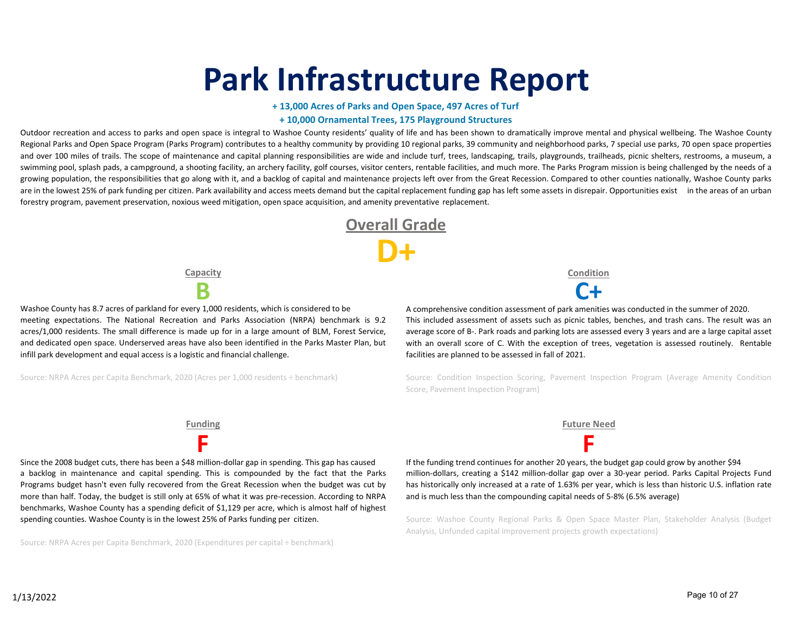# **Park Infrastructure Report**

### **+ 13,000 Acres of Parks and Open Space, 497 Acres of Turf + 10,000 Ornamental Trees, 175 Playground Structures**

Outdoor recreation and access to parks and open space is integral to Washoe County residents' quality of life and has been shown to dramatically improve mental and physical wellbeing. The Washoe County Regional Parks and Open Space Program (Parks Program) contributes to a healthy community by providing 10 regional parks, 39 community and neighborhood parks, 7 special use parks, 70 open space properties and over 100 miles of trails. The scope of maintenance and capital planning responsibilities are wide and include turf, trees, landscaping, trails, playgrounds, trailheads, picnic shelters, restrooms, a museum, a swimming pool, splash pads, a campground, a shooting facility, an archery facility, golf courses, visitor centers, rentable facilities, and much more. The Parks Program mission is being challenged by the needs of a growing population, the responsibilities that go along with it, and a backlog of capital and maintenance projects left over from the Great Recession. Compared to other counties nationally, Washoe County parks are in the lowest 25% of park funding per citizen. Park availability and access meets demand but the capital replacement funding gap has left some assets in disrepair. Opportunities exist in the areas of an urban forestry program, pavement preservation, noxious weed mitigation, open space acquisition, and amenity preventative replacement.

> **Overall Grade D+**

**Capacity**

Washoe County has 8.7 acres of parkland for every 1,000 residents, which is considered to be meeting expectations. The National Recreation and Parks Association (NRPA) benchmark is 9.2 acres/1,000 residents. The small difference is made up for in a large amount of BLM, Forest Service, and dedicated open space. Underserved areas have also been identified in the Parks Master Plan, but infill park development and equal access is a logistic and financial challenge.

Source: NRPA Acres per Capita Benchmark, 2020 (Acres per 1,000 residents ÷ benchmark)

**Condition**

**B C+** A comprehensive condition assessment of park amenities was conducted in the summer of 2020. This included assessment of assets such as picnic tables, benches, and trash cans. The result was an average score of B‐. Park roads and parking lots are assessed every 3 years and are a large capital asset with an overall score of C. With the exception of trees, vegetation is assessed routinely. Rentable facilities are planned to be assessed in fall of 2021.

> Source: Condition Inspection Scoring, Pavement Inspection Program (Average Amenity Condition Score, Pavement Inspection Program)

**F F** Since the 2008 budget cuts, there has been a \$48 million‐dollar gap in spending. This gap has caused a backlog in maintenance and capital spending. This is compounded by the fact that the Parks Programs budget hasn't even fully recovered from the Great Recession when the budget was cut by more than half. Today, the budget is still only at 65% of what it was pre-recession. According to NRPA benchmarks, Washoe County has a spending deficit of \$1,129 per acre, which is almost half of highest spending counties. Washoe County is in the lowest 25% of Parks funding per citizen.

Source: NRPA Acres per Capita Benchmark, 2020 (Expenditures per capital ÷ benchmark)



If the funding trend continues for another 20 years, the budget gap could grow by another \$94 million‐dollars, creating a \$142 million‐dollar gap over a 30‐year period. Parks Capital Projects Fund has historically only increased at a rate of 1.63% per year, which is less than historic U.S. inflation rate and is much less than the compounding capital needs of 5‐8% (6.5% average)

Source: Washoe County Regional Parks & Open Space Master Plan, Stakeholder Analysis (Budget Analysis, Unfunded capital improvement projects growth expectations)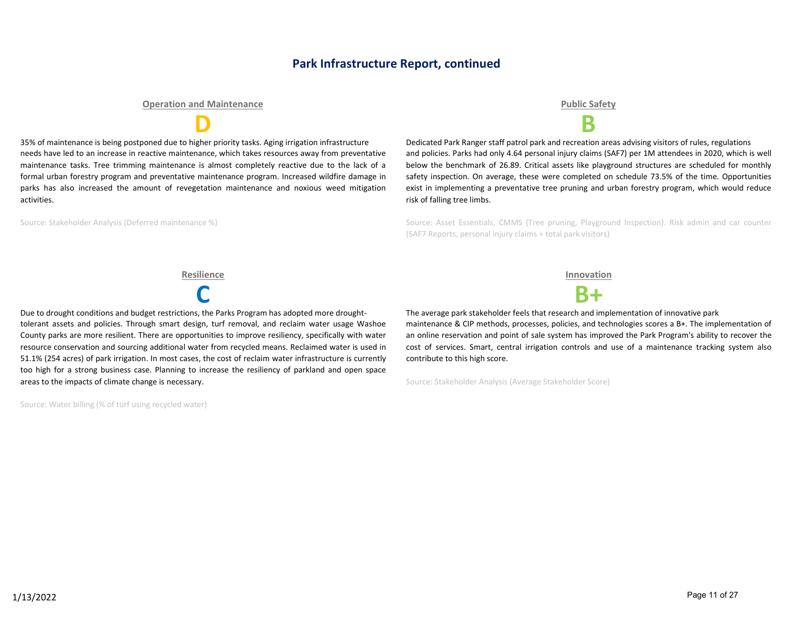### **Park Infrastructure Report, continued**

#### **Operation and Maintenance Public Safety**

35% of maintenance is being postponed due to higher priority tasks. Aging irrigation infrastructure needs have led to an increase in reactive maintenance, which takes resources away from preventative maintenance tasks. Tree trimming maintenance is almost completely reactive due to the lack of a formal urban forestry program and preventative maintenance program. Increased wildfire damage in parks has also increased the amount of revegetation maintenance and noxious weed mitigation activities.

Source: Stakeholder Analysis (Deferred maintenance %)

**D B**

Dedicated Park Ranger staff patrol park and recreation areas advising visitors of rules, regulations and policies. Parks had only 4.64 personal injury claims (SAF7) per 1M attendees in 2020, which is well below the benchmark of 26.89. Critical assets like playground structures are scheduled for monthly safety inspection. On average, these were completed on schedule 73.5% of the time. Opportunities exist in implementing a preventative tree pruning and urban forestry program, which would reduce risk of falling tree limbs.

Source: Asset Essentials, CMMS (Tree pruning, Playground Inspection). Risk admin and car counter (SAF7 Reports, personal injury claims ÷ total park visitors)

Due to drought conditions and budget restrictions, the Parks Program has adopted more droughttolerant assets and policies. Through smart design, turf removal, and reclaim water usage Washoe County parks are more resilient. There are opportunities to improve resiliency, specifically with water resource conservation and sourcing additional water from recycled means. Reclaimed water is used in 51.1% (254 acres) of park irrigation. In most cases, the cost of reclaim water infrastructure is currently too high for a strong business case. Planning to increase the resiliency of parkland and open space areas to the impacts of climate change is necessary.

Source: Water billing (% of turf using recycled water)

**Resilience Innovation**



The average park stakeholder feels that research and implementation of innovative park maintenance & CIP methods, processes, policies, and technologies scores a B+. The implementation of an online reservation and point of sale system has improved the Park Program's ability to recover the cost of services. Smart, central irrigation controls and use of a maintenance tracking system also contribute to this high score.

Source: Stakeholder Analysis (Average Stakeholder Score)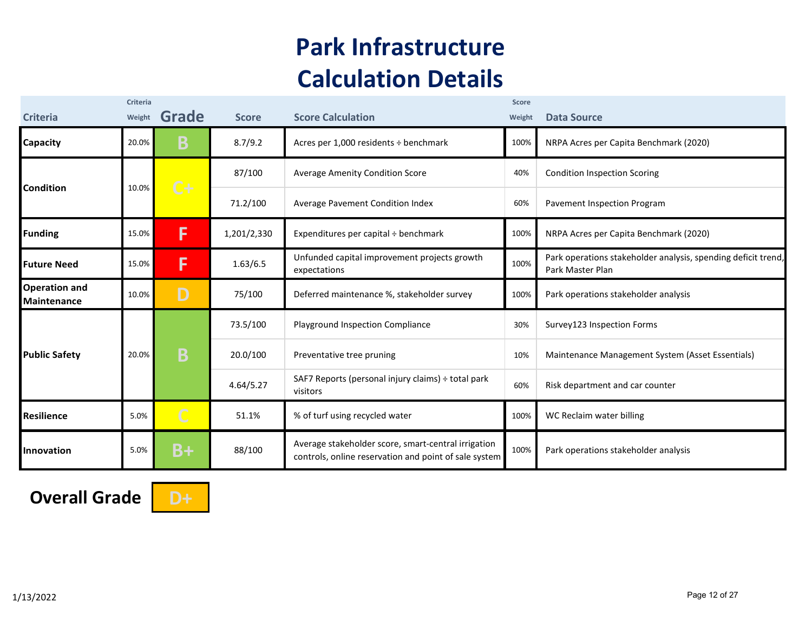## **Park Infrastructure Calculation Details**

| <b>Criteria</b>                            | Criteria<br>Weight | Grade          | <b>Score</b> | <b>Score Calculation</b>                                                                                     | <b>Score</b><br>Weight | <b>Data Source</b>                                                                |
|--------------------------------------------|--------------------|----------------|--------------|--------------------------------------------------------------------------------------------------------------|------------------------|-----------------------------------------------------------------------------------|
| <b>Capacity</b>                            | 20.0%              | Β              | 8.7/9.2      | Acres per 1,000 residents ÷ benchmark                                                                        | 100%                   | NRPA Acres per Capita Benchmark (2020)                                            |
|                                            |                    | $C +$          | 87/100       | <b>Average Amenity Condition Score</b>                                                                       | 40%                    | <b>Condition Inspection Scoring</b>                                               |
| <b>Condition</b>                           | 10.0%              |                | 71.2/100     | Average Pavement Condition Index                                                                             | 60%                    | Pavement Inspection Program                                                       |
| <b>Funding</b>                             | 15.0%              | F              | 1,201/2,330  | Expenditures per capital ÷ benchmark                                                                         | 100%                   | NRPA Acres per Capita Benchmark (2020)                                            |
| <b>Future Need</b>                         | 15.0%              | F              | 1.63/6.5     | Unfunded capital improvement projects growth<br>expectations                                                 | 100%                   | Park operations stakeholder analysis, spending deficit trend,<br>Park Master Plan |
| <b>Operation and</b><br><b>Maintenance</b> | 10.0%              | D              | 75/100       | Deferred maintenance %, stakeholder survey                                                                   | 100%                   | Park operations stakeholder analysis                                              |
|                                            |                    |                | 73.5/100     | Playground Inspection Compliance                                                                             | 30%                    | Survey123 Inspection Forms                                                        |
| <b>Public Safety</b>                       | 20.0%              | B              | 20.0/100     | Preventative tree pruning                                                                                    | 10%                    | Maintenance Management System (Asset Essentials)                                  |
|                                            |                    |                | 4.64/5.27    | SAF7 Reports (personal injury claims) ÷ total park<br>visitors                                               | 60%                    | Risk department and car counter                                                   |
| <b>Resilience</b>                          | 5.0%               | $\overline{C}$ | 51.1%        | % of turf using recycled water                                                                               | 100%                   | WC Reclaim water billing                                                          |
| <b>Innovation</b>                          | 5.0%               | $B+$           | 88/100       | Average stakeholder score, smart-central irrigation<br>controls, online reservation and point of sale system | 100%                   | Park operations stakeholder analysis                                              |

**Overall Grade D+** 

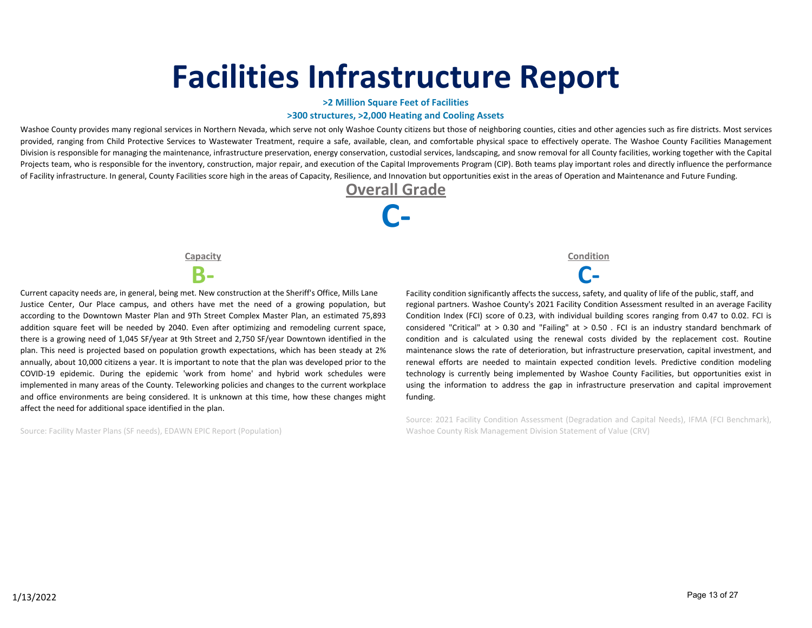# **Facilities Infrastructure Report**

#### **>2 Million Square Feet of Facilities**

#### **>300 structures, >2,000 Heating and Cooling Assets**

Washoe County provides many regional services in Northern Nevada, which serve not only Washoe County citizens but those of neighboring counties, cities and other agencies such as fire districts. Most services provided, ranging from Child Protective Services to Wastewater Treatment, require a safe, available, clean, and comfortable physical space to effectively operate. The Washoe County Facilities Management Division is responsible for managing the maintenance, infrastructure preservation, energy conservation, custodial services, landscaping, and snow removal for all County facilities, working together with the Capital Projects team, who is responsible for the inventory, construction, major repair, and execution of the Capital Improvements Program (CIP). Both teams play important roles and directly influence the performance of Facility infrastructure. In general, County Facilities score high in the areas of Capacity, Resilience, and Innovation but opportunities exist in the areas of Operation and Maintenance and Future Funding.



**B‐ C‐** Current capacity needs are, in general, being met. New construction at the Sheriff's Office, Mills Lane Justice Center, Our Place campus, and others have met the need of a growing population, but according to the Downtown Master Plan and 9Th Street Complex Master Plan, an estimated 75,893 addition square feet will be needed by 2040. Even after optimizing and remodeling current space, there is a growing need of 1,045 SF/year at 9th Street and 2,750 SF/year Downtown identified in the plan. This need is projected based on population growth expectations, which has been steady at 2% annually, about 10,000 citizens a year. It is important to note that the plan was developed prior to the COVID‐19 epidemic. During the epidemic 'work from home' and hybrid work schedules were implemented in many areas of the County. Teleworking policies and changes to the current workplace and office environments are being considered. It is unknown at this time, how these changes might affect the need for additional space identified in the plan.

Source: Facility Master Plans (SF needs), EDAWN EPIC Report (Population)

**Capacity Condition**

Facility condition significantly affects the success, safety, and quality of life of the public, staff, and regional partners. Washoe County's 2021 Facility Condition Assessment resulted in an average Facility Condition Index (FCI) score of 0.23, with individual building scores ranging from 0.47 to 0.02. FCI is considered "Critical" at > 0.30 and "Failing" at > 0.50 . FCI is an industry standard benchmark of condition and is calculated using the renewal costs divided by the replacement cost. Routine maintenance slows the rate of deterioration, but infrastructure preservation, capital investment, and renewal efforts are needed to maintain expected condition levels. Predictive condition modeling technology is currently being implemented by Washoe County Facilities, but opportunities exist in using the information to address the gap in infrastructure preservation and capital improvement funding.

Source: 2021 Facility Condition Assessment (Degradation and Capital Needs), IFMA (FCI Benchmark), Washoe County Risk Management Division Statement of Value (CRV)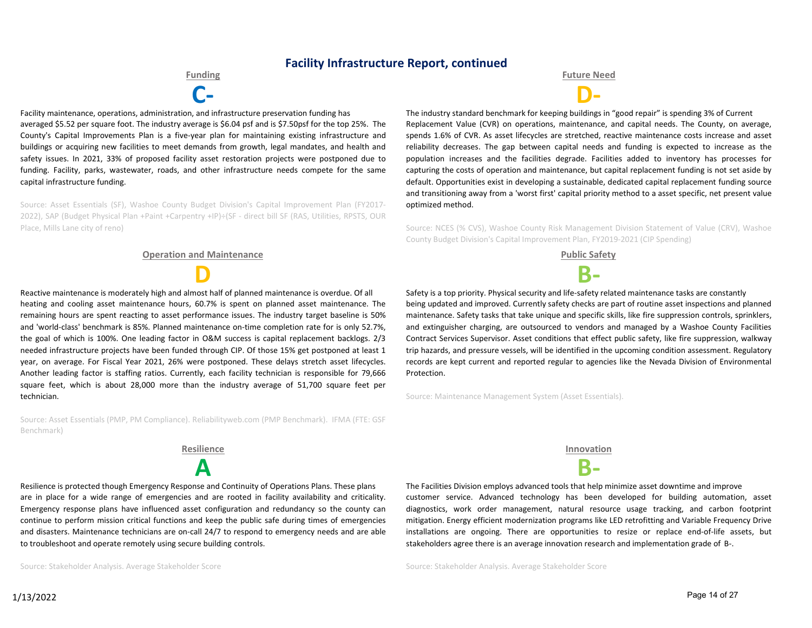### **Facility Infrastructure Report, continued**

**C‐ D‐** Facility maintenance, operations, administration, and infrastructure preservation funding has averaged \$5.52 per square foot. The industry average is \$6.04 psf and is \$7.50psf for the top 25%. The County's Capital Improvements Plan is a five‐year plan for maintaining existing infrastructure and buildings or acquiring new facilities to meet demands from growth, legal mandates, and health and safety issues. In 2021, 33% of proposed facility asset restoration projects were postponed due to funding. Facility, parks, wastewater, roads, and other infrastructure needs compete for the same capital infrastructure funding.

Source: Asset Essentials (SF), Washoe County Budget Division's Capital Improvement Plan (FY2017‐ 2022), SAP (Budget Physical Plan +Paint +Carpentry +IP)÷(SF ‐ direct bill SF (RAS, Utilities, RPSTS, OUR Place, Mills Lane city of reno)

#### **Operation and Maintenance Public Safety**

**D B‐** Reactive maintenance is moderately high and almost half of planned maintenance is overdue. Of all heating and cooling asset maintenance hours, 60.7% is spent on planned asset maintenance. The remaining hours are spent reacting to asset performance issues. The industry target baseline is 50% and 'world-class' benchmark is 85%. Planned maintenance on-time completion rate for is only 52.7%, the goal of which is 100%. One leading factor in O&M success is capital replacement backlogs. 2/3 needed infrastructure projects have been funded through CIP. Of those 15% get postponed at least 1 year, on average. For Fiscal Year 2021, 26% were postponed. These delays stretch asset lifecycles. Another leading factor is staffing ratios. Currently, each facility technician is responsible for 79,666 square feet, which is about 28,000 more than the industry average of 51,700 square feet per technician.

Source: Asset Essentials (PMP, PM Compliance). Reliabilityweb.com (PMP Benchmark). IFMA (FTE: GSF Benchmark)



Resilience is protected though Emergency Response and Continuity of Operations Plans. These plans are in place for a wide range of emergencies and are rooted in facility availability and criticality. Emergency response plans have influenced asset configuration and redundancy so the county can continue to perform mission critical functions and keep the public safe during times of emergencies and disasters. Maintenance technicians are on-call 24/7 to respond to emergency needs and are able to troubleshoot and operate remotely using secure building controls.

Source: Stakeholder Analysis. Average Stakeholder Score

**Funding Future Need**

The industry standard benchmark for keeping buildings in "good repair" is spending 3% of Current Replacement Value (CVR) on operations, maintenance, and capital needs. The County, on average, spends 1.6% of CVR. As asset lifecycles are stretched, reactive maintenance costs increase and asset reliability decreases. The gap between capital needs and funding is expected to increase as the population increases and the facilities degrade. Facilities added to inventory has processes for capturing the costs of operation and maintenance, but capital replacement funding is not set aside by default. Opportunities exist in developing a sustainable, dedicated capital replacement funding source and transitioning away from a 'worst first' capital priority method to a asset specific, net present value optimized method.

Source: NCES (% CVS), Washoe County Risk Management Division Statement of Value (CRV), Washoe County Budget Division's Capital Improvement Plan, FY2019‐2021 (CIP Spending)



Safety is a top priority. Physical security and life-safety related maintenance tasks are constantly being updated and improved. Currently safety checks are part of routine asset inspections and planned maintenance. Safety tasks that take unique and specific skills, like fire suppression controls, sprinklers, and extinguisher charging, are outsourced to vendors and managed by a Washoe County Facilities Contract Services Supervisor. Asset conditions that effect public safety, like fire suppression, walkway trip hazards, and pressure vessels, will be identified in the upcoming condition assessment. Regulatory records are kept current and reported regular to agencies like the Nevada Division of Environmental Protection.

Source: Maintenance Management System (Asset Essentials).

**Resilience Innovation**

The Facilities Division employs advanced tools that help minimize asset downtime and improve customer service. Advanced technology has been developed for building automation, asset diagnostics, work order management, natural resource usage tracking, and carbon footprint mitigation. Energy efficient modernization programs like LED retrofitting and Variable Frequency Drive installations are ongoing. There are opportunities to resize or replace end‐of‐life assets, but stakeholders agree there is an average innovation research and implementation grade of B‐.

Source: Stakeholder Analysis. Average Stakeholder Score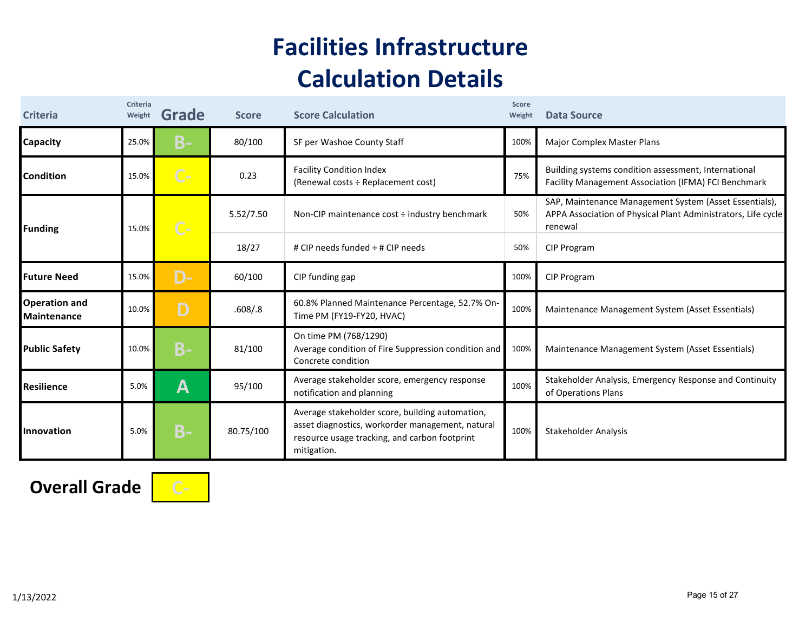## **Facilities Infrastructure Calculation Details**

| <b>Criteria</b>                            | Criteria<br>Weight | Grade     | <b>Score</b> | <b>Score Calculation</b>                                                                                                                                            | Score<br>Weight | <b>Data Source</b>                                                                                                                 |
|--------------------------------------------|--------------------|-----------|--------------|---------------------------------------------------------------------------------------------------------------------------------------------------------------------|-----------------|------------------------------------------------------------------------------------------------------------------------------------|
| <b>Capacity</b>                            | 25.0%              | <b>B-</b> | 80/100       | SF per Washoe County Staff                                                                                                                                          | 100%            | Major Complex Master Plans                                                                                                         |
| <b>Condition</b>                           | 15.0%              | $C -$     | 0.23         | <b>Facility Condition Index</b><br>(Renewal costs ÷ Replacement cost)                                                                                               | 75%             | Building systems condition assessment, International<br>Facility Management Association (IFMA) FCI Benchmark                       |
| Funding                                    | 15.0%              | $C -$     | 5.52/7.50    | Non-CIP maintenance cost ÷ industry benchmark                                                                                                                       | 50%             | SAP, Maintenance Management System (Asset Essentials),<br>APPA Association of Physical Plant Administrators, Life cycle<br>renewal |
|                                            |                    |           | 18/27        | # CIP needs funded $\div$ # CIP needs                                                                                                                               | 50%             | CIP Program                                                                                                                        |
| <b>Future Need</b>                         | 15.0%              | D-        | 60/100       | CIP funding gap                                                                                                                                                     | 100%            | CIP Program                                                                                                                        |
| <b>Operation and</b><br><b>Maintenance</b> | 10.0%              | D         | .608/0.8     | 60.8% Planned Maintenance Percentage, 52.7% On-<br>Time PM (FY19-FY20, HVAC)                                                                                        | 100%            | Maintenance Management System (Asset Essentials)                                                                                   |
| <b>Public Safety</b>                       | 10.0%              | $B -$     | 81/100       | On time PM (768/1290)<br>Average condition of Fire Suppression condition and<br>Concrete condition                                                                  | 100%            | Maintenance Management System (Asset Essentials)                                                                                   |
| Resilience                                 | 5.0%               | A         | 95/100       | Average stakeholder score, emergency response<br>notification and planning                                                                                          | 100%            | Stakeholder Analysis, Emergency Response and Continuity<br>of Operations Plans                                                     |
| Innovation                                 | 5.0%               | <b>B-</b> | 80.75/100    | Average stakeholder score, building automation,<br>asset diagnostics, workorder management, natural<br>resource usage tracking, and carbon footprint<br>mitigation. | 100%            | <b>Stakeholder Analysis</b>                                                                                                        |

**Overall Grade C‐**

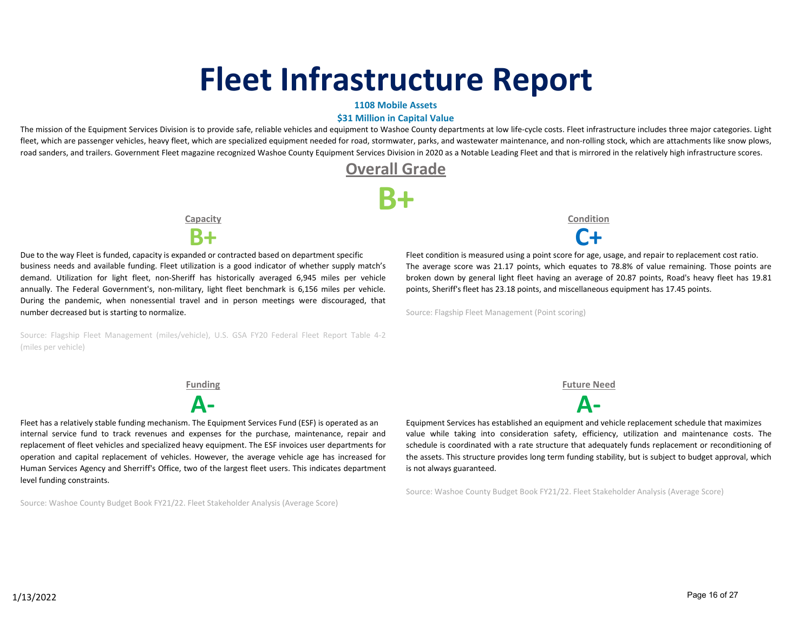# **Fleet Infrastructure Report**

### **1108 Mobile Assets**

### **\$31 Million in Capital Value**

The mission of the Equipment Services Division is to provide safe, reliable vehicles and equipment to Washoe County departments at low life-cycle costs. Fleet infrastructure includes three major categories. Light fleet, which are passenger vehicles, heavy fleet, which are specialized equipment needed for road, stormwater, parks, and wastewater maintenance, and non-rolling stock, which are attachments like snow plows, road sanders, and trailers. Government Fleet magazine recognized Washoe County Equipment Services Division in 2020 as a Notable Leading Fleet and that is mirrored in the relatively high infrastructure scores.

### **Overall Grade**

**B+**

**Capacity**



Due to the way Fleet is funded, capacity is expanded or contracted based on department specific business needs and available funding. Fleet utilization is a good indicator of whether supply match's demand. Utilization for light fleet, non‐Sheriff has historically averaged 6,945 miles per vehicle annually. The Federal Government's, non-military, light fleet benchmark is 6,156 miles per vehicle. During the pandemic, when nonessential travel and in person meetings were discouraged, that number decreased but is starting to normalize.

Source: Flagship Fleet Management (miles/vehicle), U.S. GSA FY20 Federal Fleet Report Table 4‐2 (miles per vehicle)

Fleet has a relatively stable funding mechanism. The Equipment Services Fund (ESF) is operated as an internal service fund to track revenues and expenses for the purchase, maintenance, repair and replacement of fleet vehicles and specialized heavy equipment. The ESF invoices user departments for operation and capital replacement of vehicles. However, the average vehicle age has increased for Human Services Agency and Sherriff's Office, two of the largest fleet users. This indicates department level funding constraints.

Source: Washoe County Budget Book FY21/22. Fleet Stakeholder Analysis (Average Score)



Fleet condition is measured using a point score for age, usage, and repair to replacement cost ratio. The average score was 21.17 points, which equates to 78.8% of value remaining. Those points are broken down by general light fleet having an average of 20.87 points, Road's heavy fleet has 19.81 points, Sheriff's fleet has 23.18 points, and miscellaneous equipment has 17.45 points.

Source: Flagship Fleet Management (Point scoring)

**Funding Future Need**

**A‐ A‐** Equipment Services has established an equipment and vehicle replacement schedule that maximizes value while taking into consideration safety, efficiency, utilization and maintenance costs. The schedule is coordinated with a rate structure that adequately funds replacement or reconditioning of the assets. This structure provides long term funding stability, but is subject to budget approval, which is not always guaranteed.

Source: Washoe County Budget Book FY21/22. Fleet Stakeholder Analysis (Average Score)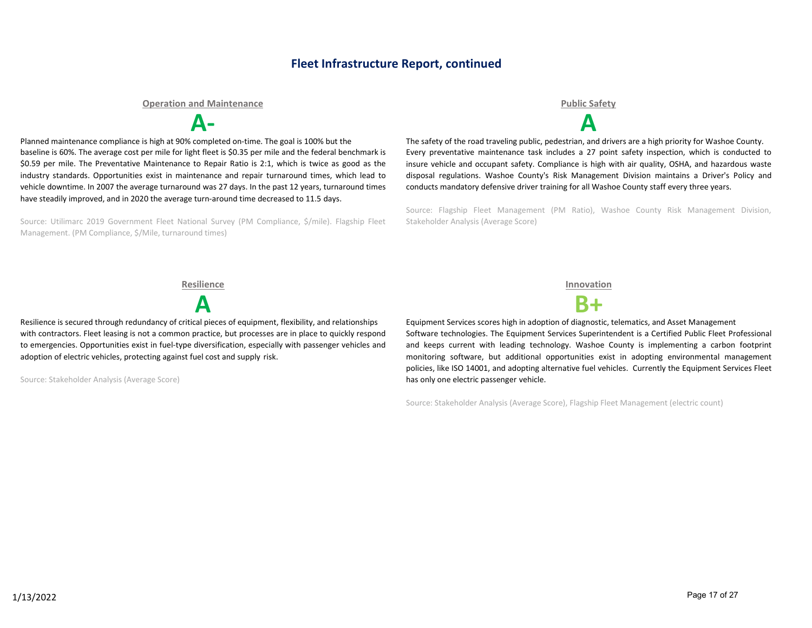### **Fleet Infrastructure Report, continued**

#### **Operation and Maintenance Public Safety**

**A‐ A**

Planned maintenance compliance is high at 90% completed on‐time. The goal is 100% but the baseline is 60%. The average cost per mile for light fleet is \$0.35 per mile and the federal benchmark is \$0.59 per mile. The Preventative Maintenance to Repair Ratio is 2:1, which is twice as good as the industry standards. Opportunities exist in maintenance and repair turnaround times, which lead to vehicle downtime. In 2007 the average turnaround was 27 days. In the past 12 years, turnaround times have steadily improved, and in 2020 the average turn-around time decreased to 11.5 days.

Source: Utilimarc 2019 Government Fleet National Survey (PM Compliance, \$/mile). Flagship Fleet Management. (PM Compliance, \$/Mile, turnaround times)

The safety of the road traveling public, pedestrian, and drivers are a high priority for Washoe County. Every preventative maintenance task includes a 27 point safety inspection, which is conducted to insure vehicle and occupant safety. Compliance is high with air quality, OSHA, and hazardous waste disposal regulations. Washoe County's Risk Management Division maintains a Driver's Policy and conducts mandatory defensive driver training for all Washoe County staff every three years.

Source: Flagship Fleet Management (PM Ratio), Washoe County Risk Management Division, Stakeholder Analysis (Average Score)

**A B+** Resilience is secured through redundancy of critical pieces of equipment, flexibility, and relationships with contractors. Fleet leasing is not a common practice, but processes are in place to quickly respond to emergencies. Opportunities exist in fuel‐type diversification, especially with passenger vehicles and adoption of electric vehicles, protecting against fuel cost and supply risk.

Source: Stakeholder Analysis (Average Score)





Equipment Services scores high in adoption of diagnostic, telematics, and Asset Management Software technologies. The Equipment Services Superintendent is a Certified Public Fleet Professional and keeps current with leading technology. Washoe County is implementing a carbon footprint monitoring software, but additional opportunities exist in adopting environmental management policies, like ISO 14001, and adopting alternative fuel vehicles. Currently the Equipment Services Fleet has only one electric passenger vehicle.

Source: Stakeholder Analysis (Average Score), Flagship Fleet Management (electric count)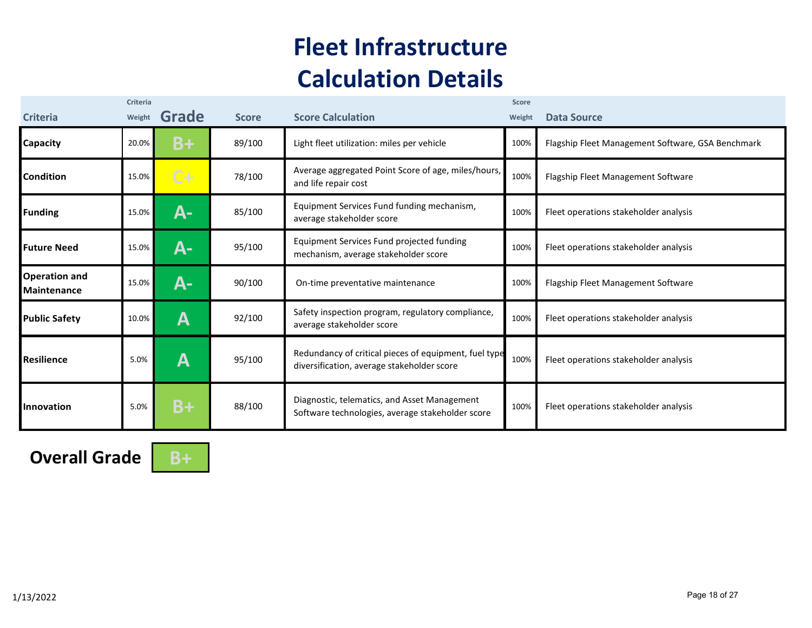## **Fleet Infrastructure Calculation Details**

| <b>Criteria</b>                            | Criteria<br>Weight | Grade | <b>Score</b> | <b>Score Calculation</b>                                                                            | <b>Score</b><br>Weight | <b>Data Source</b>                                |
|--------------------------------------------|--------------------|-------|--------------|-----------------------------------------------------------------------------------------------------|------------------------|---------------------------------------------------|
| Capacity                                   | 20.0%              | B+    | 89/100       | Light fleet utilization: miles per vehicle                                                          | 100%                   | Flagship Fleet Management Software, GSA Benchmark |
| <b>Condition</b>                           | 15.0%              | $C+$  | 78/100       | Average aggregated Point Score of age, miles/hours,<br>and life repair cost                         | 100%                   | Flagship Fleet Management Software                |
| <b>Funding</b>                             | 15.0%              | А-    | 85/100       | Equipment Services Fund funding mechanism,<br>average stakeholder score                             | 100%                   | Fleet operations stakeholder analysis             |
| <b>Future Need</b>                         | 15.0%              | А-    | 95/100       | Equipment Services Fund projected funding<br>mechanism, average stakeholder score                   | 100%                   | Fleet operations stakeholder analysis             |
| <b>Operation and</b><br><b>Maintenance</b> | 15.0%              | А-    | 90/100       | On-time preventative maintenance                                                                    | 100%                   | Flagship Fleet Management Software                |
| <b>Public Safety</b>                       | 10.0%              | Α     | 92/100       | Safety inspection program, regulatory compliance,<br>average stakeholder score                      | 100%                   | Fleet operations stakeholder analysis             |
| <b>Resilience</b>                          | 5.0%               | Α     | 95/100       | Redundancy of critical pieces of equipment, fuel type<br>diversification, average stakeholder score | 100%                   | Fleet operations stakeholder analysis             |
| Innovation                                 | 5.0%               | $B+$  | 88/100       | Diagnostic, telematics, and Asset Management<br>Software technologies, average stakeholder score    | 100%                   | Fleet operations stakeholder analysis             |

**Overall Grade B+**

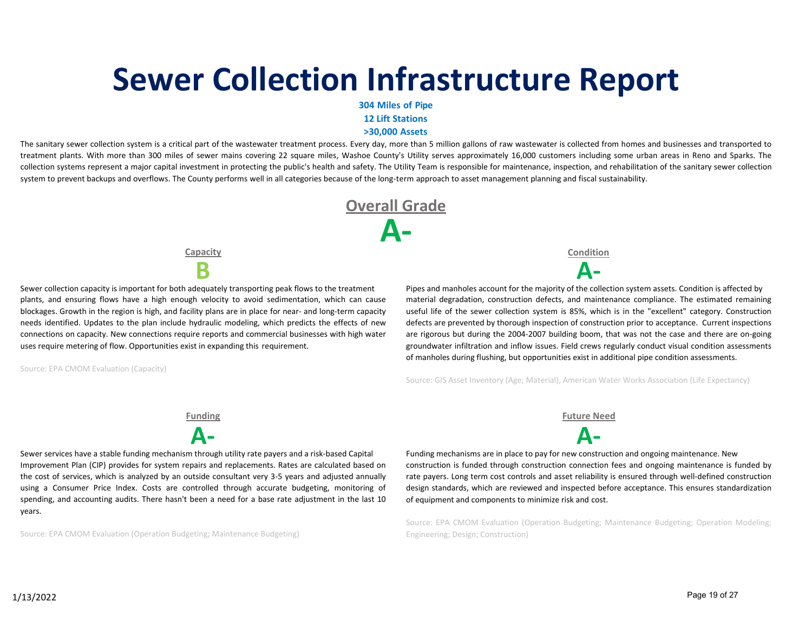# **Sewer Collection Infrastructure Report**

**304 Miles of Pipe** 

**12 Lift Stations**

**>30,000 Assets**

The sanitary sewer collection system is a critical part of the wastewater treatment process. Every day, more than 5 million gallons of raw wastewater is collected from homes and businesses and transported to treatment plants. With more than 300 miles of sewer mains covering 22 square miles, Washoe County's Utility serves approximately 16,000 customers including some urban areas in Reno and Sparks. The collection systems represent a major capital investment in protecting the public's health and safety. The Utility Team is responsible for maintenance, inspection, and rehabilitation of the sanitary sewer collection system to prevent backups and overflows. The County performs well in all categories because of the long-term approach to asset management planning and fiscal sustainability.



**Capacity**

Sewer collection capacity is important for both adequately transporting peak flows to the treatment plants, and ensuring flows have a high enough velocity to avoid sedimentation, which can cause blockages. Growth in the region is high, and facility plans are in place for near- and long-term capacity needs identified. Updates to the plan include hydraulic modeling, which predicts the effects of new connections on capacity. New connections require reports and commercial businesses with high water uses require metering of flow. Opportunities exist in expanding this requirement.

Source: EPA CMOM Evaluation (Capacity)

**Condition**

**B A‐** Pipes and manholes account for the majority of the collection system assets. Condition is affected by material degradation, construction defects, and maintenance compliance. The estimated remaining useful life of the sewer collection system is 85%, which is in the "excellent" category. Construction defects are prevented by thorough inspection of construction prior to acceptance. Current inspections are rigorous but during the 2004‐2007 building boom, that was not the case and there are on‐going groundwater infiltration and inflow issues. Field crews regularly conduct visual condition assessments of manholes during flushing, but opportunities exist in additional pipe condition assessments.

Source: GIS Asset Inventory (Age; Material), American Water Works Association (Life Expectancy)



Sewer services have a stable funding mechanism through utility rate payers and a risk-based Capital Improvement Plan (CIP) provides for system repairs and replacements. Rates are calculated based on the cost of services, which is analyzed by an outside consultant very 3‐5 years and adjusted annually using a Consumer Price Index. Costs are controlled through accurate budgeting, monitoring of spending, and accounting audits. There hasn't been a need for a base rate adjustment in the last 10 years.

Source: EPA CMOM Evaluation (Operation Budgeting; Maintenance Budgeting)

**Funding Future Need**

Funding mechanisms are in place to pay for new construction and ongoing maintenance. New construction is funded through construction connection fees and ongoing maintenance is funded by rate payers. Long term cost controls and asset reliability is ensured through well-defined construction design standards, which are reviewed and inspected before acceptance. This ensures standardization of equipment and components to minimize risk and cost.

Source: EPA CMOM Evaluation (Operation Budgeting; Maintenance Budgeting; Operation Modeling; Engineering; Design; Construction)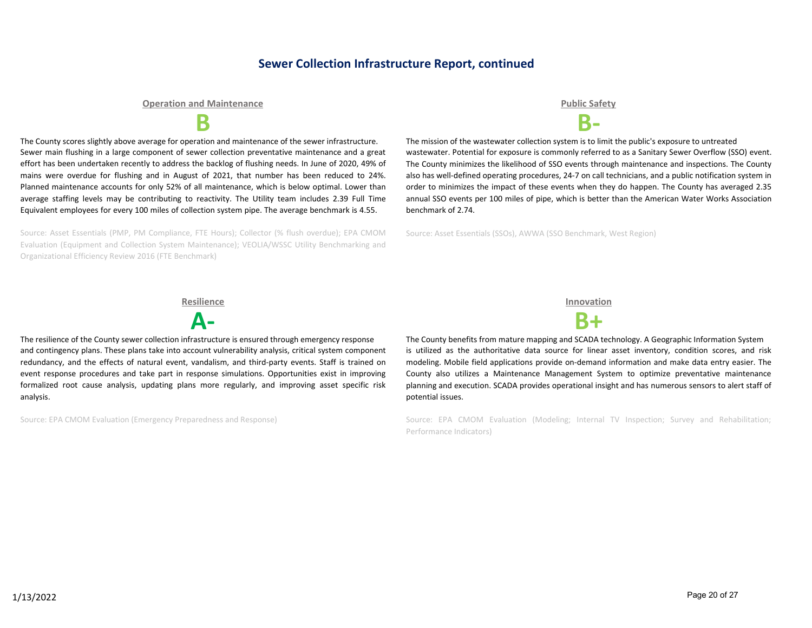### **Sewer Collection Infrastructure Report, continued**

### **Operation and Maintenance Public Safety**

The County scores slightly above average for operation and maintenance of the sewer infrastructure. Sewer main flushing in a large component of sewer collection preventative maintenance and a great effort has been undertaken recently to address the backlog of flushing needs. In June of 2020, 49% of mains were overdue for flushing and in August of 2021, that number has been reduced to 24%. Planned maintenance accounts for only 52% of all maintenance, which is below optimal. Lower than average staffing levels may be contributing to reactivity. The Utility team includes 2.39 Full Time Equivalent employees for every 100 miles of collection system pipe. The average benchmark is 4.55.

Source: Asset Essentials (PMP, PM Compliance, FTE Hours); Collector (% flush overdue); EPA CMOM Evaluation (Equipment and Collection System Maintenance); VEOLIA/WSSC Utility Benchmarking and Organizational Efficiency Review 2016 (FTE Benchmark)

**B B‐**

The mission of the wastewater collection system is to limit the public's exposure to untreated wastewater. Potential for exposure is commonly referred to as a Sanitary Sewer Overflow (SSO) event. The County minimizes the likelihood of SSO events through maintenance and inspections. The County also has well-defined operating procedures, 24-7 on call technicians, and a public notification system in order to minimizes the impact of these events when they do happen. The County has averaged 2.35 annual SSO events per 100 miles of pipe, which is better than the American Water Works Association benchmark of 2.74.

Source: Asset Essentials (SSOs), AWWA (SSO Benchmark, West Region)

#### **Resilience Innovation**



The resilience of the County sewer collection infrastructure is ensured through emergency response and contingency plans. These plans take into account vulnerability analysis, critical system component redundancy, and the effects of natural event, vandalism, and third-party events. Staff is trained on event response procedures and take part in response simulations. Opportunities exist in improving formalized root cause analysis, updating plans more regularly, and improving asset specific risk analysis.

Source: EPA CMOM Evaluation (Emergency Preparedness and Response)



The County benefits from mature mapping and SCADA technology. A Geographic Information System is utilized as the authoritative data source for linear asset inventory, condition scores, and risk modeling. Mobile field applications provide on‐demand information and make data entry easier. The County also utilizes a Maintenance Management System to optimize preventative maintenance planning and execution. SCADA provides operational insight and has numerous sensors to alert staff of potential issues.

Source: EPA CMOM Evaluation (Modeling; Internal TV Inspection; Survey and Rehabilitation; Performance Indicators)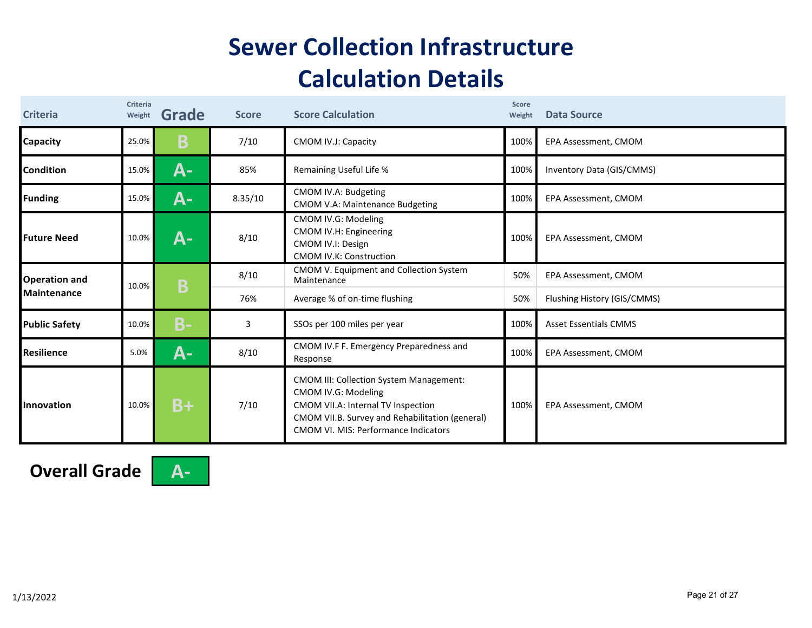### **Sewer Collection Infrastructure Calculation Details**

| <b>Criteria</b>      | Criteria<br>Weight | Grade     | <b>Score</b> | <b>Score Calculation</b>                                                                                                                                                                                      | Score<br>Weight | <b>Data Source</b>           |
|----------------------|--------------------|-----------|--------------|---------------------------------------------------------------------------------------------------------------------------------------------------------------------------------------------------------------|-----------------|------------------------------|
| <b>Capacity</b>      | 25.0%              | B         | 7/10         | CMOM IV.J: Capacity                                                                                                                                                                                           | 100%            | EPA Assessment, CMOM         |
| <b>Condition</b>     | 15.0%              | А-        | 85%          | Remaining Useful Life %                                                                                                                                                                                       | 100%            | Inventory Data (GIS/CMMS)    |
| <b>Funding</b>       | 15.0%              | <b>A-</b> | 8.35/10      | CMOM IV.A: Budgeting<br><b>CMOM V.A: Maintenance Budgeting</b>                                                                                                                                                | 100%            | EPA Assessment, CMOM         |
| <b>Future Need</b>   | 10.0%              | А-        | 8/10         | CMOM IV.G: Modeling<br>CMOM IV.H: Engineering<br>CMOM IV.I: Design<br><b>CMOM IV.K: Construction</b>                                                                                                          | 100%            | EPA Assessment, CMOM         |
| <b>Operation and</b> | 10.0%              | Β         | 8/10         | CMOM V. Equipment and Collection System<br>Maintenance                                                                                                                                                        | 50%             | EPA Assessment, CMOM         |
| <b>Maintenance</b>   |                    |           | 76%          | Average % of on-time flushing                                                                                                                                                                                 | 50%             | Flushing History (GIS/CMMS)  |
| <b>Public Safety</b> | 10.0%              | <b>B-</b> | 3            | SSOs per 100 miles per year                                                                                                                                                                                   | 100%            | <b>Asset Essentials CMMS</b> |
| Resilience           | 5.0%               | A-        | 8/10         | CMOM IV.F F. Emergency Preparedness and<br>Response                                                                                                                                                           | 100%            | EPA Assessment, CMOM         |
| Innovation           | 10.0%              | $B+$      | 7/10         | <b>CMOM III: Collection System Management:</b><br>CMOM IV.G: Modeling<br>CMOM VII.A: Internal TV Inspection<br>CMOM VII.B. Survey and Rehabilitation (general)<br><b>CMOM VI. MIS: Performance Indicators</b> | 100%            | EPA Assessment, CMOM         |

**Overall Grade A‐**



Page 21 of 27 1/13/2022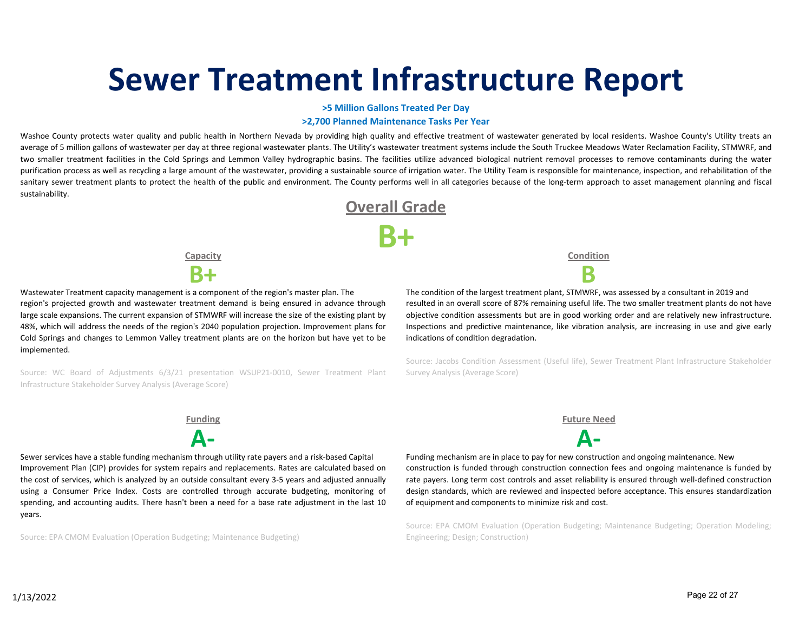# **Sewer Treatment Infrastructure Report**

**>5 Million Gallons Treated Per Day**

#### **>2,700 Planned Maintenance Tasks Per Year**

Washoe County protects water quality and public health in Northern Nevada by providing high quality and effective treatment of wastewater generated by local residents. Washoe County's Utility treats an average of 5 million gallons of wastewater per day at three regional wastewater plants. The Utility's wastewater treatment systems include the South Truckee Meadows Water Reclamation Facility, STMWRF, and two smaller treatment facilities in the Cold Springs and Lemmon Valley hydrographic basins. The facilities utilize advanced biological nutrient removal processes to remove contaminants during the water purification process as well as recycling a large amount of the wastewater, providing a sustainable source of irrigation water. The Utility Team is responsible for maintenance, inspection, and rehabilitation of the sanitary sewer treatment plants to protect the health of the public and environment. The County performs well in all categories because of the long-term approach to asset management planning and fiscal sustainability.



**Capacity**



Wastewater Treatment capacity management is a component of the region's master plan. The region's projected growth and wastewater treatment demand is being ensured in advance through large scale expansions. The current expansion of STMWRF will increase the size of the existing plant by 48%, which will address the needs of the region's 2040 population projection. Improvement plans for Cold Springs and changes to Lemmon Valley treatment plants are on the horizon but have yet to be implemented.

Source: WC Board of Adjustments 6/3/21 presentation WSUP21‐0010, Sewer Treatment Plant Infrastructure Stakeholder Survey Analysis (Average Score)

**Condition**

The condition of the largest treatment plant, STMWRF, was assessed by a consultant in 2019 and resulted in an overall score of 87% remaining useful life. The two smaller treatment plants do not have objective condition assessments but are in good working order and are relatively new infrastructure. Inspections and predictive maintenance, like vibration analysis, are increasing in use and give early indications of condition degradation.

Source: Jacobs Condition Assessment (Useful life), Sewer Treatment Plant Infrastructure Stakeholder Survey Analysis (Average Score)



Sewer services have a stable funding mechanism through utility rate payers and a risk-based Capital Improvement Plan (CIP) provides for system repairs and replacements. Rates are calculated based on the cost of services, which is analyzed by an outside consultant every 3‐5 years and adjusted annually using a Consumer Price Index. Costs are controlled through accurate budgeting, monitoring of spending, and accounting audits. There hasn't been a need for a base rate adjustment in the last 10 years.

Source: EPA CMOM Evaluation (Operation Budgeting; Maintenance Budgeting)

**Funding Future Need**

**A‐ A‐**

Funding mechanism are in place to pay for new construction and ongoing maintenance. New construction is funded through construction connection fees and ongoing maintenance is funded by rate payers. Long term cost controls and asset reliability is ensured through well-defined construction design standards, which are reviewed and inspected before acceptance. This ensures standardization of equipment and components to minimize risk and cost.

Source: EPA CMOM Evaluation (Operation Budgeting; Maintenance Budgeting; Operation Modeling; Engineering; Design; Construction)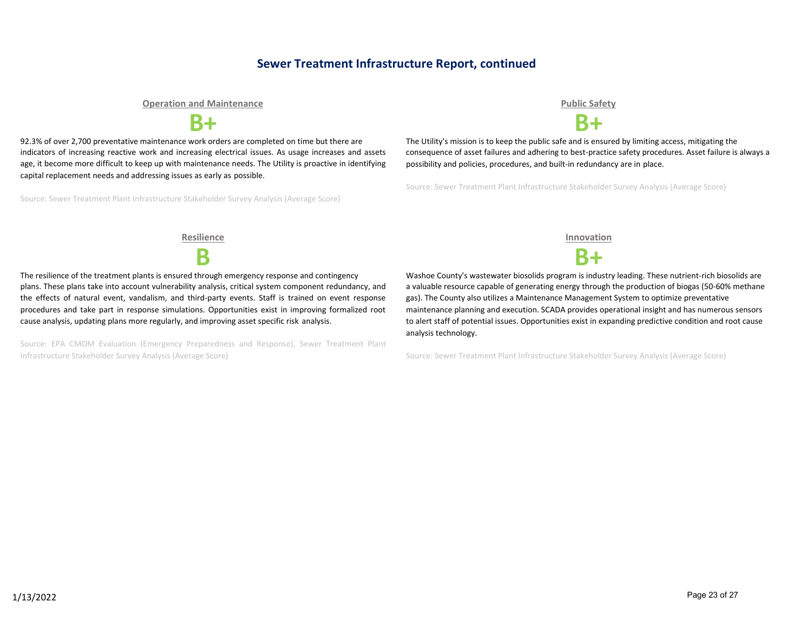### **Sewer Treatment Infrastructure Report, continued**

**Operation and Maintenance Public Safety**



92.3% of over 2,700 preventative maintenance work orders are completed on time but there are indicators of increasing reactive work and increasing electrical issues. As usage increases and assets age, it become more difficult to keep up with maintenance needs. The Utility is proactive in identifying capital replacement needs and addressing issues as early as possible.

Source: Sewer Treatment Plant Infrastructure Stakeholder Survey Analysis (Average Score)



**B+ B+**

The Utility's mission is to keep the public safe and is ensured by limiting access, mitigating the consequence of asset failures and adhering to best‐practice safety procedures. Asset failure is always a possibility and policies, procedures, and built-in redundancy are in place.

Source: Sewer Treatment Plant Infrastructure Stakeholder Survey Analysis (Average Score)

The resilience of the treatment plants is ensured through emergency response and contingency plans. These plans take into account vulnerability analysis, critical system component redundancy, and the effects of natural event, vandalism, and third-party events. Staff is trained on event response procedures and take part in response simulations. Opportunities exist in improving formalized root cause analysis, updating plans more regularly, and improving asset specific risk analysis.

Source: EPA CMOM Evaluation (Emergency Preparedness and Response), Sewer Treatment Plant Infrastructure Stakeholder Survey Analysis (Average Score)

**Resilience Innovation**

**B B+**

Washoe County's wastewater biosolids program is industry leading. These nutrient‐rich biosolids are a valuable resource capable of generating energy through the production of biogas (50‐60% methane gas). The County also utilizes a Maintenance Management System to optimize preventative maintenance planning and execution. SCADA provides operational insight and has numerous sensors to alert staff of potential issues. Opportunities exist in expanding predictive condition and root cause analysis technology.

Source: Sewer Treatment Plant Infrastructure Stakeholder Survey Analysis (Average Score)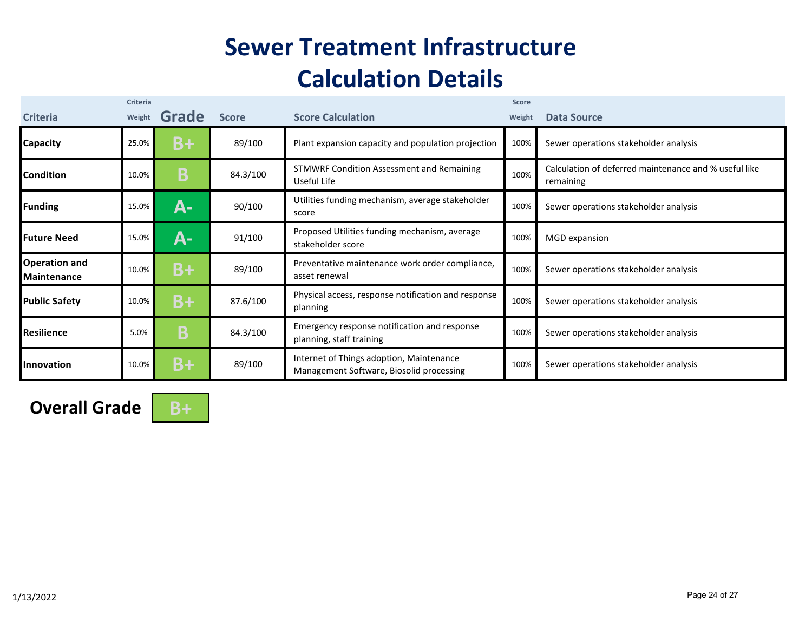## **Sewer Treatment Infrastructure Calculation Details**

| <b>Criteria</b>                            | Criteria<br>Weight | Grade | <b>Score</b> | <b>Score Calculation</b>                                                             | <b>Score</b><br>Weight | Data Source                                                        |
|--------------------------------------------|--------------------|-------|--------------|--------------------------------------------------------------------------------------|------------------------|--------------------------------------------------------------------|
| <b>Capacity</b>                            | 25.0%              | B+    | 89/100       | Plant expansion capacity and population projection                                   | 100%                   | Sewer operations stakeholder analysis                              |
| Condition                                  | 10.0%              | Β     | 84.3/100     | <b>STMWRF Condition Assessment and Remaining</b><br>Useful Life                      | 100%                   | Calculation of deferred maintenance and % useful like<br>remaining |
| <b>Funding</b>                             | 15.0%              | А-    | 90/100       | Utilities funding mechanism, average stakeholder<br>score                            | 100%                   | Sewer operations stakeholder analysis                              |
| <b>Future Need</b>                         | 15.0%              | А-    | 91/100       | Proposed Utilities funding mechanism, average<br>stakeholder score                   | 100%                   | MGD expansion                                                      |
| <b>Operation and</b><br><b>Maintenance</b> | 10.0%              | $B+$  | 89/100       | Preventative maintenance work order compliance,<br>asset renewal                     | 100%                   | Sewer operations stakeholder analysis                              |
| <b>Public Safety</b>                       | 10.0%              | $B+$  | 87.6/100     | Physical access, response notification and response<br>planning                      | 100%                   | Sewer operations stakeholder analysis                              |
| Resilience                                 | 5.0%               | B     | 84.3/100     | Emergency response notification and response<br>planning, staff training             | 100%                   | Sewer operations stakeholder analysis                              |
| Innovation                                 | 10.0%              | B+    | 89/100       | Internet of Things adoption, Maintenance<br>Management Software, Biosolid processing | 100%                   | Sewer operations stakeholder analysis                              |

**Overall Grade** B+

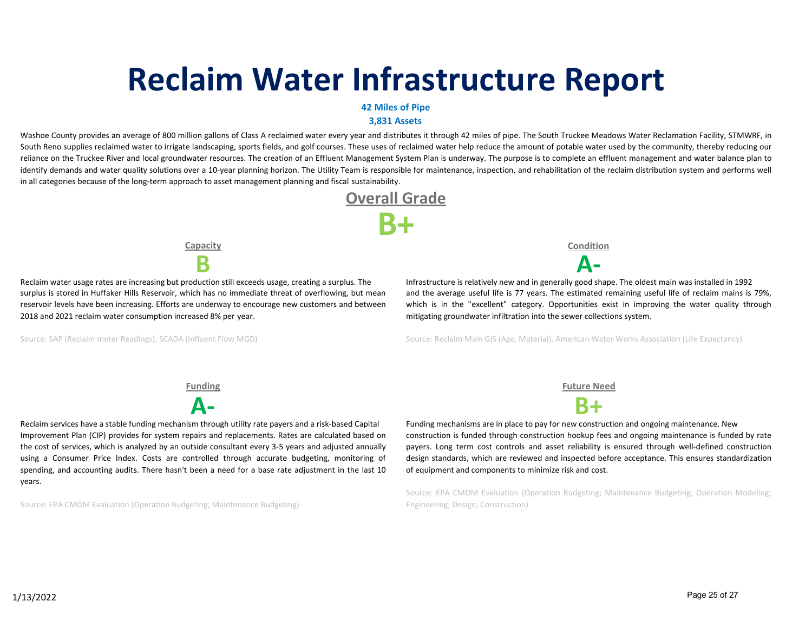# **Reclaim Water Infrastructure Report**

#### **42 Miles of Pipe**

**3,831 Assets**

Washoe County provides an average of 800 million gallons of Class A reclaimed water every year and distributes it through 42 miles of pipe. The South Truckee Meadows Water Reclamation Facility, STMWRF, in South Reno supplies reclaimed water to irrigate landscaping, sports fields, and golf courses. These uses of reclaimed water help reduce the amount of potable water used by the community, thereby reducing our reliance on the Truckee River and local groundwater resources. The creation of an Effluent Management System Plan is underway. The purpose is to complete an effluent management and water balance plan to identify demands and water quality solutions over a 10-year planning horizon. The Utility Team is responsible for maintenance, inspection, and rehabilitation of the reclaim distribution system and performs well in all categories because of the long-term approach to asset management planning and fiscal sustainability.



**Capacity**

Reclaim water usage rates are increasing but production still exceeds usage, creating a surplus. The surplus is stored in Huffaker Hills Reservoir, which has no immediate threat of overflowing, but mean reservoir levels have been increasing. Efforts are underway to encourage new customers and between 2018 and 2021 reclaim water consumption increased 8% per year.

Source: SAP (Reclaim meter Readings), SCADA (Influent Flow MGD)

**Condition**

**B A‐** Infrastructure is relatively new and in generally good shape. The oldest main was installed in 1992 and the average useful life is 77 years. The estimated remaining useful life of reclaim mains is 79%, which is in the "excellent" category. Opportunities exist in improving the water quality through mitigating groundwater infiltration into the sewer collections system.

Source: Reclaim Main GIS (Age, Material), American Water Works Association (Life Expectancy)

Reclaim services have a stable funding mechanism through utility rate payers and a risk-based Capital Improvement Plan (CIP) provides for system repairs and replacements. Rates are calculated based on the cost of services, which is analyzed by an outside consultant every 3‐5 years and adjusted annually using a Consumer Price Index. Costs are controlled through accurate budgeting, monitoring of spending, and accounting audits. There hasn't been a need for a base rate adjustment in the last 10 years.

Source: EPA CMOM Evaluation (Operation Budgeting; Maintenance Budgeting)

**Funding Future Need**



Funding mechanisms are in place to pay for new construction and ongoing maintenance. New construction is funded through construction hookup fees and ongoing maintenance is funded by rate payers. Long term cost controls and asset reliability is ensured through well-defined construction design standards, which are reviewed and inspected before acceptance. This ensures standardization of equipment and components to minimize risk and cost.

Source: EPA CMOM Evaluation (Operation Budgeting; Maintenance Budgeting; Operation Modeling; Engineering; Design; Construction)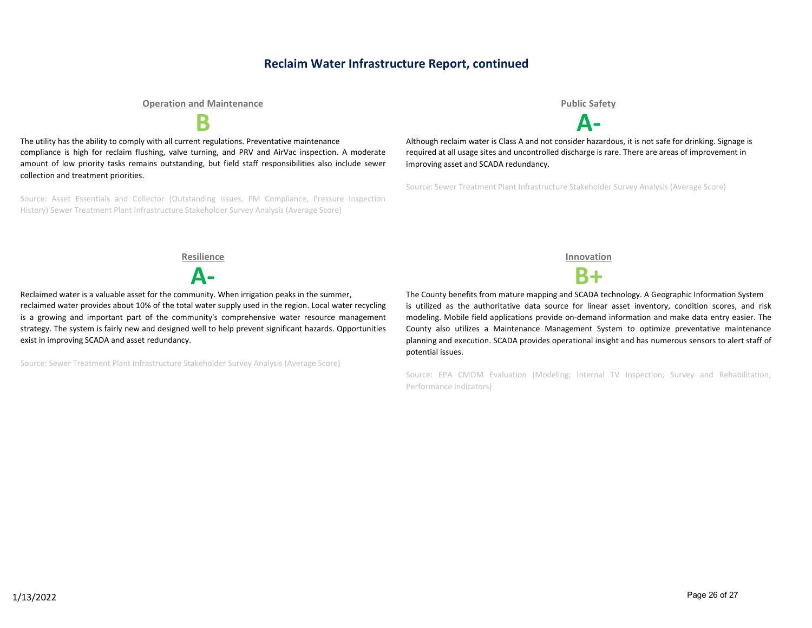### **Reclaim Water Infrastructure Report, continued**

#### **Operation and Maintenance Public Safety**

The utility has the ability to comply with all current regulations. Preventative maintenance compliance is high for reclaim flushing, valve turning, and PRV and AirVac inspection. A moderate amount of low priority tasks remains outstanding, but field staff responsibilities also include sewer collection and treatment priorities.

Source: Asset Essentials and Collector (Outstanding issues, PM Compliance, Pressure Inspection History) Sewer Treatment Plant Infrastructure Stakeholder Survey Analysis (Average Score)

**B A‐**

Although reclaim water is Class A and not consider hazardous, it is not safe for drinking. Signage is required at all usage sites and uncontrolled discharge is rare. There are areas of improvement in improving asset and SCADA redundancy.

Source: Sewer Treatment Plant Infrastructure Stakeholder Survey Analysis (Average Score)

**Resilience Innovation**

**A‐ B+**

Reclaimed water is a valuable asset for the community. When irrigation peaks in the summer, reclaimed water provides about 10% of the total water supply used in the region. Local water recycling is a growing and important part of the community's comprehensive water resource management strategy. The system is fairly new and designed well to help prevent significant hazards. Opportunities exist in improving SCADA and asset redundancy.

Source: Sewer Treatment Plant Infrastructure Stakeholder Survey Analysis (Average Score)

The County benefits from mature mapping and SCADA technology. A Geographic Information System is utilized as the authoritative data source for linear asset inventory, condition scores, and risk modeling. Mobile field applications provide on‐demand information and make data entry easier. The County also utilizes a Maintenance Management System to optimize preventative maintenance planning and execution. SCADA provides operational insight and has numerous sensors to alert staff of potential issues.

Source: EPA CMOM Evaluation (Modeling; Internal TV Inspection; Survey and Rehabilitation; Performance Indicators)